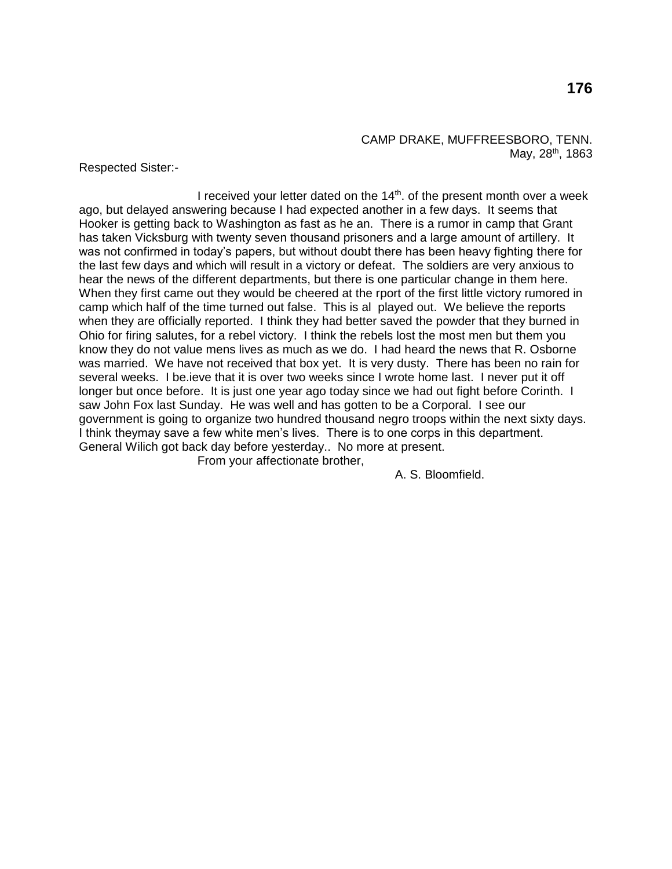# CAMP DRAKE, MUFFREESBORO, TENN. May, 28<sup>th</sup>, 1863

Respected Sister:-

I received your letter dated on the  $14<sup>th</sup>$ . of the present month over a week ago, but delayed answering because I had expected another in a few days. It seems that Hooker is getting back to Washington as fast as he an. There is a rumor in camp that Grant has taken Vicksburg with twenty seven thousand prisoners and a large amount of artillery. It was not confirmed in today's papers, but without doubt there has been heavy fighting there for the last few days and which will result in a victory or defeat. The soldiers are very anxious to hear the news of the different departments, but there is one particular change in them here. When they first came out they would be cheered at the rport of the first little victory rumored in camp which half of the time turned out false. This is al played out. We believe the reports when they are officially reported. I think they had better saved the powder that they burned in Ohio for firing salutes, for a rebel victory. I think the rebels lost the most men but them you know they do not value mens lives as much as we do. I had heard the news that R. Osborne was married. We have not received that box yet. It is very dusty. There has been no rain for several weeks. I be.ieve that it is over two weeks since I wrote home last. I never put it off longer but once before. It is just one year ago today since we had out fight before Corinth. I saw John Fox last Sunday. He was well and has gotten to be a Corporal. I see our government is going to organize two hundred thousand negro troops within the next sixty days. I think theymay save a few white men's lives. There is to one corps in this department. General Wilich got back day before yesterday.. No more at present.

From your affectionate brother,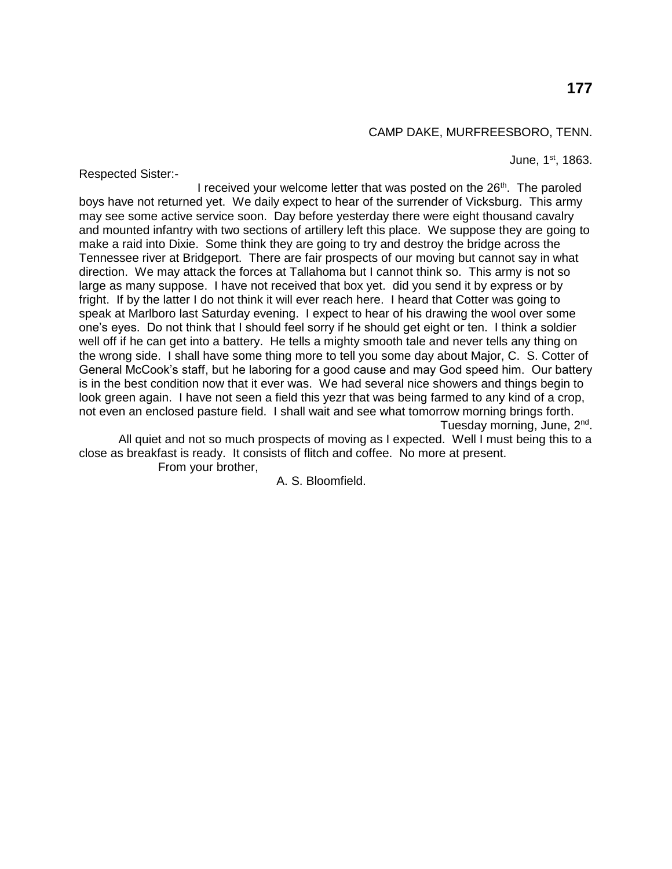## CAMP DAKE, MURFREESBORO, TENN.

June, 1<sup>st</sup>, 1863.

Respected Sister:-

I received your welcome letter that was posted on the  $26<sup>th</sup>$ . The paroled boys have not returned yet. We daily expect to hear of the surrender of Vicksburg. This army may see some active service soon. Day before yesterday there were eight thousand cavalry and mounted infantry with two sections of artillery left this place. We suppose they are going to make a raid into Dixie. Some think they are going to try and destroy the bridge across the Tennessee river at Bridgeport. There are fair prospects of our moving but cannot say in what direction. We may attack the forces at Tallahoma but I cannot think so. This army is not so large as many suppose. I have not received that box yet. did you send it by express or by fright. If by the latter I do not think it will ever reach here. I heard that Cotter was going to speak at Marlboro last Saturday evening. I expect to hear of his drawing the wool over some one's eyes. Do not think that I should feel sorry if he should get eight or ten. I think a soldier well off if he can get into a battery. He tells a mighty smooth tale and never tells any thing on the wrong side. I shall have some thing more to tell you some day about Major, C. S. Cotter of General McCook's staff, but he laboring for a good cause and may God speed him. Our battery is in the best condition now that it ever was. We had several nice showers and things begin to look green again. I have not seen a field this yezr that was being farmed to any kind of a crop, not even an enclosed pasture field. I shall wait and see what tomorrow morning brings forth. Tuesday morning, June, 2<sup>nd</sup>.

All quiet and not so much prospects of moving as I expected. Well I must being this to a close as breakfast is ready. It consists of flitch and coffee. No more at present.

From your brother,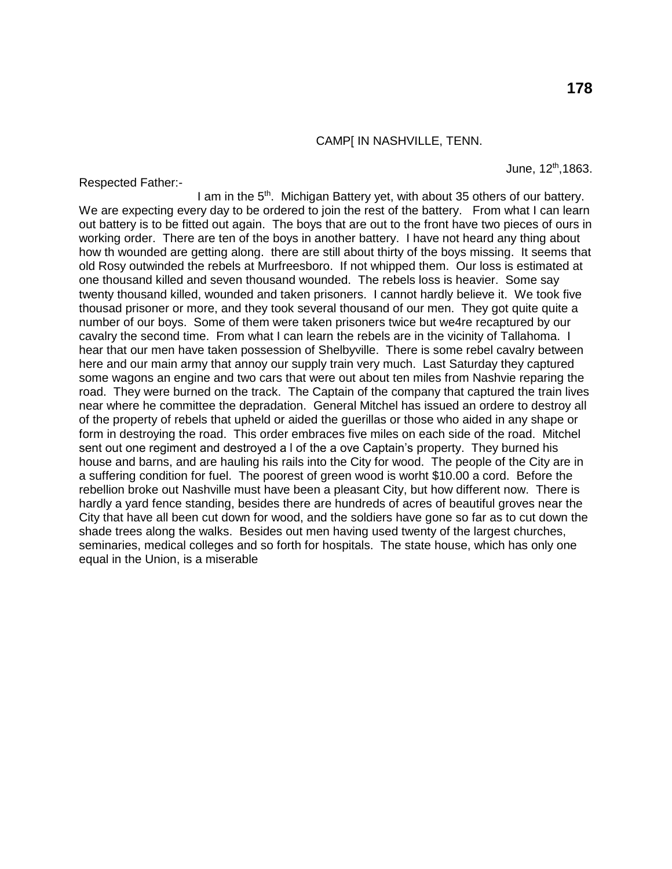# CAMP[ IN NASHVILLE, TENN.

Respected Father:-

June, 12th,1863.

I am in the 5<sup>th</sup>. Michigan Battery yet, with about 35 others of our battery. We are expecting every day to be ordered to join the rest of the battery. From what I can learn out battery is to be fitted out again. The boys that are out to the front have two pieces of ours in working order. There are ten of the boys in another battery. I have not heard any thing about how th wounded are getting along. there are still about thirty of the boys missing. It seems that old Rosy outwinded the rebels at Murfreesboro. If not whipped them. Our loss is estimated at one thousand killed and seven thousand wounded. The rebels loss is heavier. Some say twenty thousand killed, wounded and taken prisoners. I cannot hardly believe it. We took five thousad prisoner or more, and they took several thousand of our men. They got quite quite a number of our boys. Some of them were taken prisoners twice but we4re recaptured by our cavalry the second time. From what I can learn the rebels are in the vicinity of Tallahoma. I hear that our men have taken possession of Shelbyville. There is some rebel cavalry between here and our main army that annoy our supply train very much. Last Saturday they captured some wagons an engine and two cars that were out about ten miles from Nashvie reparing the road. They were burned on the track. The Captain of the company that captured the train lives near where he committee the depradation. General Mitchel has issued an ordere to destroy all of the property of rebels that upheld or aided the guerillas or those who aided in any shape or form in destroying the road. This order embraces five miles on each side of the road. Mitchel sent out one regiment and destroyed a l of the a ove Captain's property. They burned his house and barns, and are hauling his rails into the City for wood. The people of the City are in a suffering condition for fuel. The poorest of green wood is worht \$10.00 a cord. Before the rebellion broke out Nashville must have been a pleasant City, but how different now. There is hardly a yard fence standing, besides there are hundreds of acres of beautiful groves near the City that have all been cut down for wood, and the soldiers have gone so far as to cut down the shade trees along the walks. Besides out men having used twenty of the largest churches, seminaries, medical colleges and so forth for hospitals. The state house, which has only one equal in the Union, is a miserable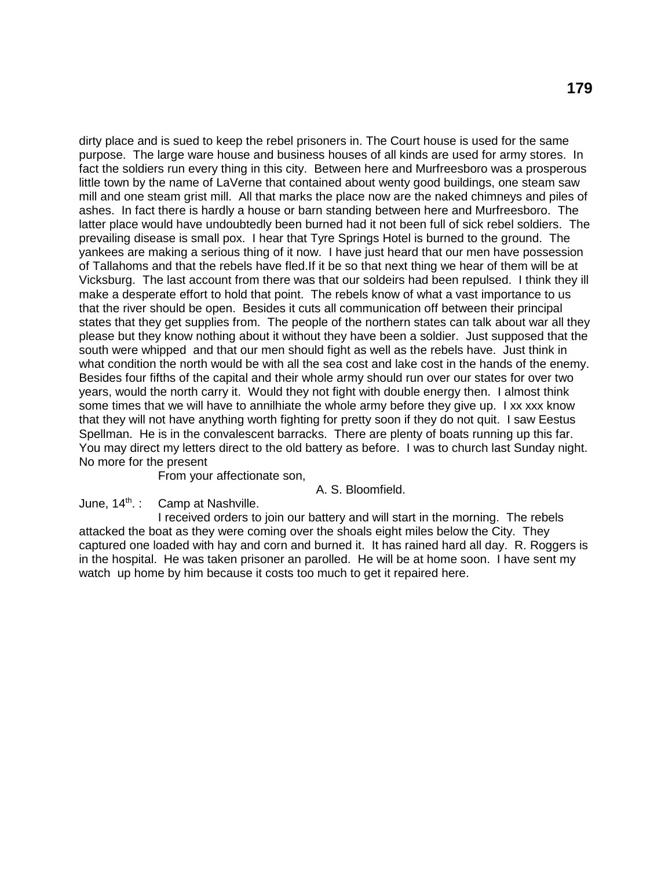dirty place and is sued to keep the rebel prisoners in. The Court house is used for the same purpose. The large ware house and business houses of all kinds are used for army stores. In fact the soldiers run every thing in this city. Between here and Murfreesboro was a prosperous little town by the name of LaVerne that contained about wenty good buildings, one steam saw mill and one steam grist mill. All that marks the place now are the naked chimneys and piles of ashes. In fact there is hardly a house or barn standing between here and Murfreesboro. The latter place would have undoubtedly been burned had it not been full of sick rebel soldiers. The prevailing disease is small pox. I hear that Tyre Springs Hotel is burned to the ground. The yankees are making a serious thing of it now. I have just heard that our men have possession of Tallahoms and that the rebels have fled.If it be so that next thing we hear of them will be at Vicksburg. The last account from there was that our soldeirs had been repulsed. I think they ill make a desperate effort to hold that point. The rebels know of what a vast importance to us that the river should be open. Besides it cuts all communication off between their principal states that they get supplies from. The people of the northern states can talk about war all they please but they know nothing about it without they have been a soldier. Just supposed that the south were whipped and that our men should fight as well as the rebels have. Just think in what condition the north would be with all the sea cost and lake cost in the hands of the enemy. Besides four fifths of the capital and their whole army should run over our states for over two years, would the north carry it. Would they not fight with double energy then. I almost think some times that we will have to annilhiate the whole army before they give up. I xx xxx know that they will not have anything worth fighting for pretty soon if they do not quit. I saw Eestus Spellman. He is in the convalescent barracks. There are plenty of boats running up this far. You may direct my letters direct to the old battery as before. I was to church last Sunday night. No more for the present

From your affectionate son,

## A. S. Bloomfield.

## June,  $14<sup>th</sup>$ .: Camp at Nashville.

I received orders to join our battery and will start in the morning. The rebels attacked the boat as they were coming over the shoals eight miles below the City. They captured one loaded with hay and corn and burned it. It has rained hard all day. R. Roggers is in the hospital. He was taken prisoner an parolled. He will be at home soon. I have sent my watch up home by him because it costs too much to get it repaired here.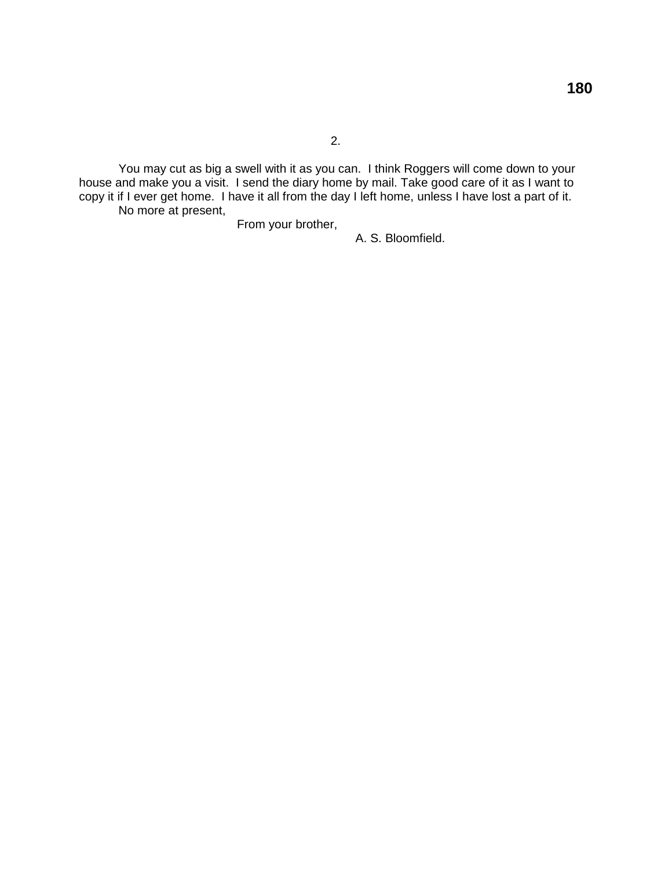You may cut as big a swell with it as you can. I think Roggers will come down to your house and make you a visit. I send the diary home by mail. Take good care of it as I want to copy it if I ever get home. I have it all from the day I left home, unless I have lost a part of it. No more at present,

From your brother,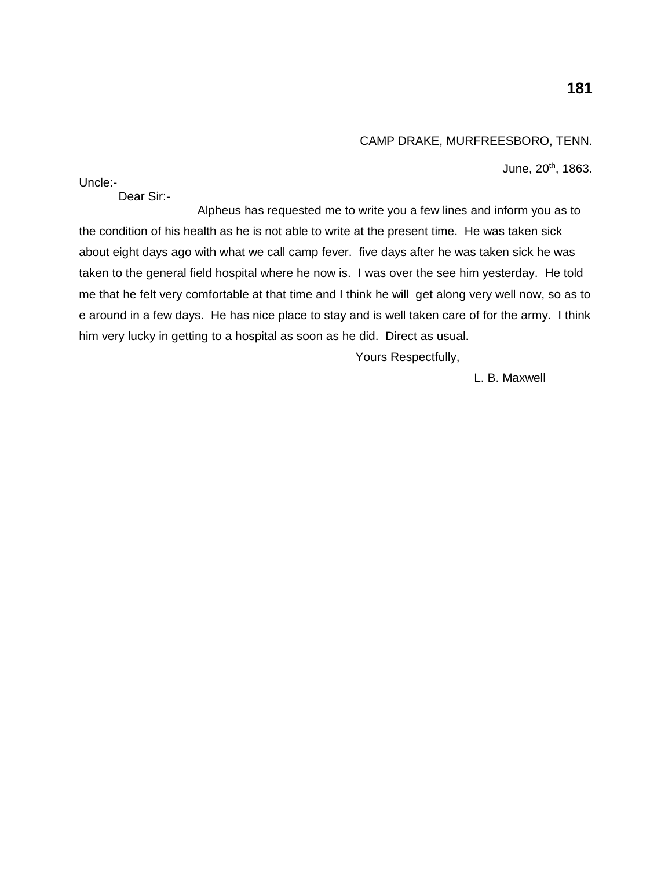# CAMP DRAKE, MURFREESBORO, TENN.

June, 20<sup>th</sup>, 1863.

Uncle:-

Dear Sir:-

Alpheus has requested me to write you a few lines and inform you as to the condition of his health as he is not able to write at the present time. He was taken sick about eight days ago with what we call camp fever. five days after he was taken sick he was taken to the general field hospital where he now is. I was over the see him yesterday. He told me that he felt very comfortable at that time and I think he will get along very well now, so as to e around in a few days. He has nice place to stay and is well taken care of for the army. I think him very lucky in getting to a hospital as soon as he did. Direct as usual.

Yours Respectfully,

L. B. Maxwell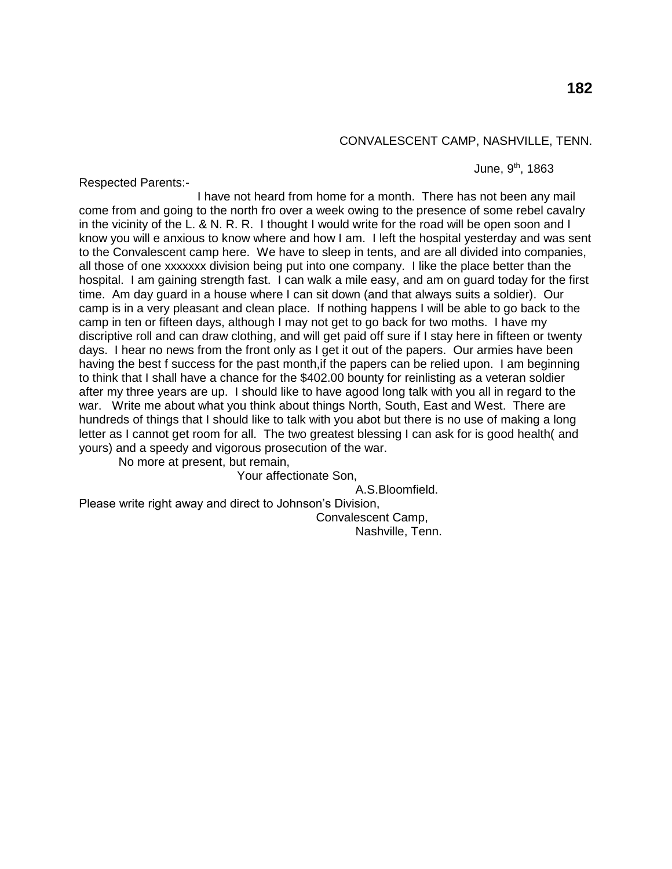# **182**

#### CONVALESCENT CAMP, NASHVILLE, TENN.

June,  $9<sup>th</sup>$ , 1863

Respected Parents:-

I have not heard from home for a month. There has not been any mail come from and going to the north fro over a week owing to the presence of some rebel cavalry in the vicinity of the L. & N. R. R. I thought I would write for the road will be open soon and I know you will e anxious to know where and how I am. I left the hospital yesterday and was sent to the Convalescent camp here. We have to sleep in tents, and are all divided into companies, all those of one xxxxxxx division being put into one company. I like the place better than the hospital. I am gaining strength fast. I can walk a mile easy, and am on guard today for the first time. Am day guard in a house where I can sit down (and that always suits a soldier). Our camp is in a very pleasant and clean place. If nothing happens I will be able to go back to the camp in ten or fifteen days, although I may not get to go back for two moths. I have my discriptive roll and can draw clothing, and will get paid off sure if I stay here in fifteen or twenty days. I hear no news from the front only as I get it out of the papers. Our armies have been having the best f success for the past month,if the papers can be relied upon. I am beginning to think that I shall have a chance for the \$402.00 bounty for reinlisting as a veteran soldier after my three years are up. I should like to have agood long talk with you all in regard to the war. Write me about what you think about things North, South, East and West. There are hundreds of things that I should like to talk with you abot but there is no use of making a long letter as I cannot get room for all. The two greatest blessing I can ask for is good health( and yours) and a speedy and vigorous prosecution of the war.

No more at present, but remain,

Your affectionate Son,

A.S.Bloomfield.

Please write right away and direct to Johnson's Division, Convalescent Camp,

Nashville, Tenn.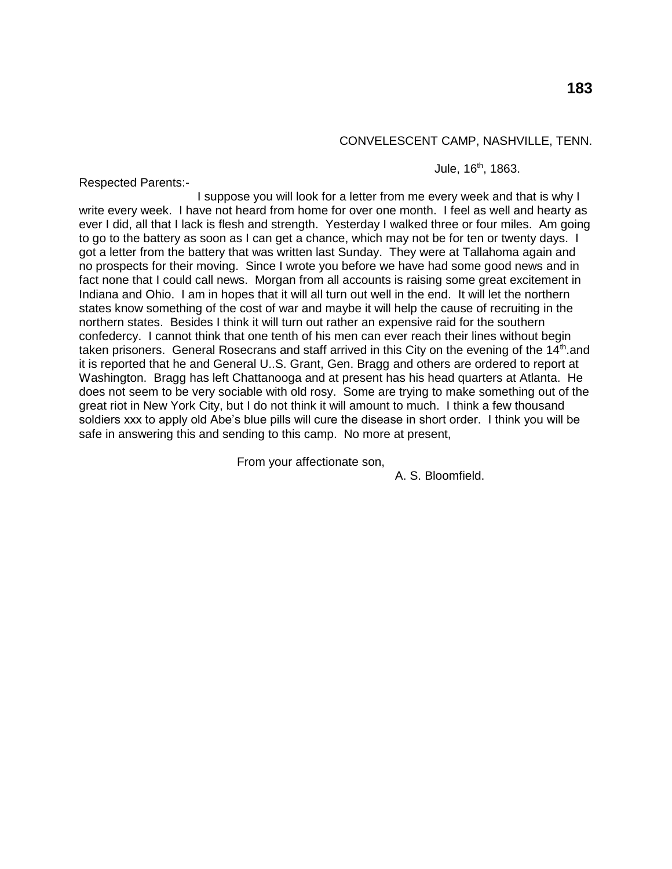## CONVELESCENT CAMP, NASHVILLE, TENN.

Jule, 16<sup>th</sup>, 1863.

Respected Parents:-

I suppose you will look for a letter from me every week and that is why I write every week. I have not heard from home for over one month. I feel as well and hearty as ever I did, all that I lack is flesh and strength. Yesterday I walked three or four miles. Am going to go to the battery as soon as I can get a chance, which may not be for ten or twenty days. I got a letter from the battery that was written last Sunday. They were at Tallahoma again and no prospects for their moving. Since I wrote you before we have had some good news and in fact none that I could call news. Morgan from all accounts is raising some great excitement in Indiana and Ohio. I am in hopes that it will all turn out well in the end. It will let the northern states know something of the cost of war and maybe it will help the cause of recruiting in the northern states. Besides I think it will turn out rather an expensive raid for the southern confedercy. I cannot think that one tenth of his men can ever reach their lines without begin taken prisoners. General Rosecrans and staff arrived in this City on the evening of the 14<sup>th</sup> and it is reported that he and General U..S. Grant, Gen. Bragg and others are ordered to report at Washington. Bragg has left Chattanooga and at present has his head quarters at Atlanta. He does not seem to be very sociable with old rosy. Some are trying to make something out of the great riot in New York City, but I do not think it will amount to much. I think a few thousand soldiers xxx to apply old Abe's blue pills will cure the disease in short order. I think you will be safe in answering this and sending to this camp. No more at present,

From your affectionate son,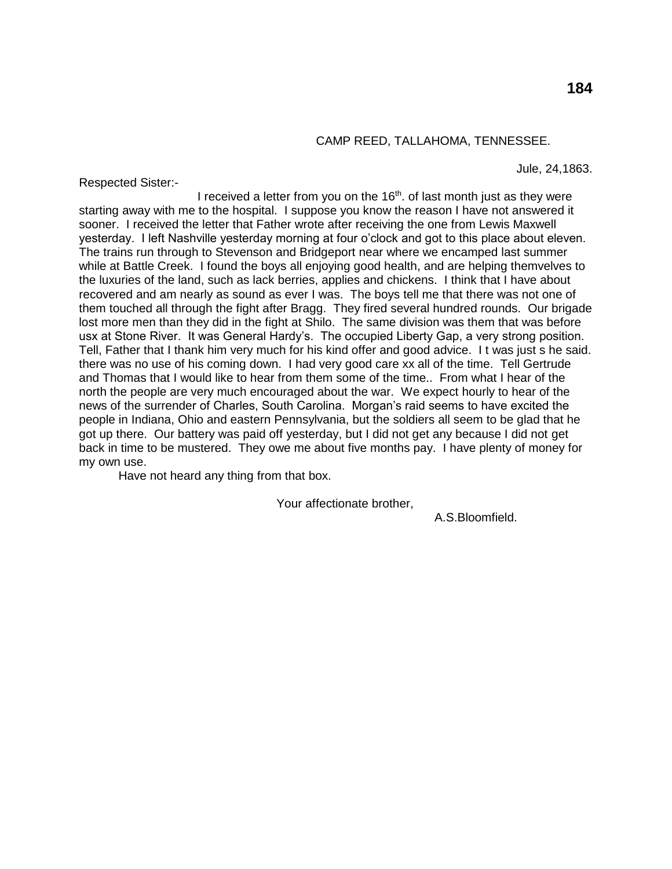## CAMP REED, TALLAHOMA, TENNESSEE.

Respected Sister:-

Jule, 24,1863.

I received a letter from you on the  $16<sup>th</sup>$ . of last month just as they were starting away with me to the hospital. I suppose you know the reason I have not answered it sooner. I received the letter that Father wrote after receiving the one from Lewis Maxwell yesterday. I left Nashville yesterday morning at four o'clock and got to this place about eleven. The trains run through to Stevenson and Bridgeport near where we encamped last summer while at Battle Creek. I found the boys all enjoying good health, and are helping themvelves to the luxuries of the land, such as lack berries, applies and chickens. I think that I have about recovered and am nearly as sound as ever I was. The boys tell me that there was not one of them touched all through the fight after Bragg. They fired several hundred rounds. Our brigade lost more men than they did in the fight at Shilo. The same division was them that was before usx at Stone River. It was General Hardy's. The occupied Liberty Gap, a very strong position. Tell, Father that I thank him very much for his kind offer and good advice. I t was just s he said. there was no use of his coming down. I had very good care xx all of the time. Tell Gertrude and Thomas that I would like to hear from them some of the time.. From what I hear of the north the people are very much encouraged about the war. We expect hourly to hear of the news of the surrender of Charles, South Carolina. Morgan's raid seems to have excited the people in Indiana, Ohio and eastern Pennsylvania, but the soldiers all seem to be glad that he got up there. Our battery was paid off yesterday, but I did not get any because I did not get back in time to be mustered. They owe me about five months pay. I have plenty of money for my own use.

Have not heard any thing from that box.

Your affectionate brother,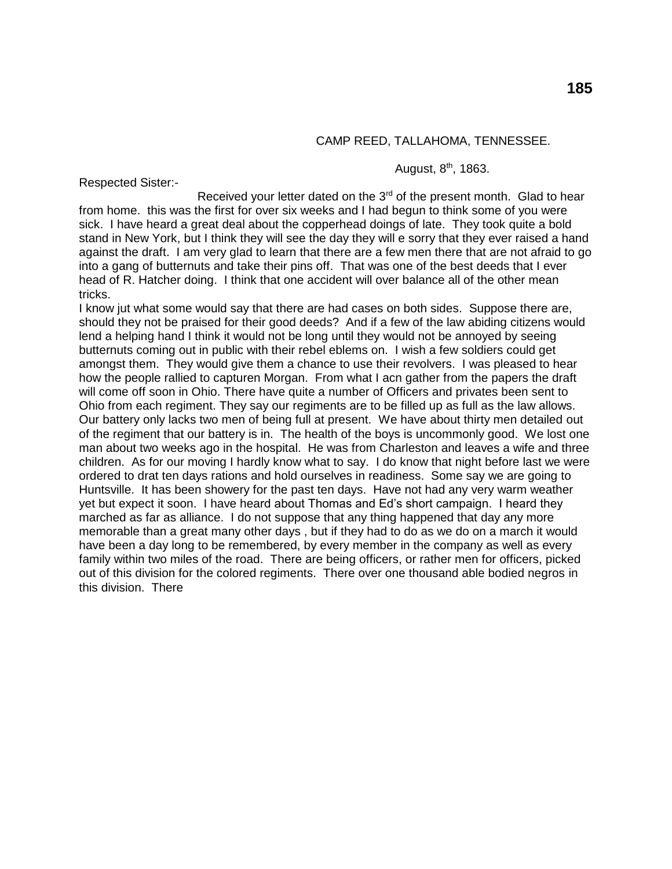## CAMP REED, TALLAHOMA, TENNESSEE.

August,  $8<sup>th</sup>$ , 1863.

Respected Sister:-

Received your letter dated on the  $3<sup>rd</sup>$  of the present month. Glad to hear from home. this was the first for over six weeks and I had begun to think some of you were sick. I have heard a great deal about the copperhead doings of late. They took quite a bold stand in New York, but I think they will see the day they will e sorry that they ever raised a hand against the draft. I am very glad to learn that there are a few men there that are not afraid to go into a gang of butternuts and take their pins off. That was one of the best deeds that I ever head of R. Hatcher doing. I think that one accident will over balance all of the other mean tricks.

I know jut what some would say that there are had cases on both sides. Suppose there are, should they not be praised for their good deeds? And if a few of the law abiding citizens would lend a helping hand I think it would not be long until they would not be annoyed by seeing butternuts coming out in public with their rebel eblems on. I wish a few soldiers could get amongst them. They would give them a chance to use their revolvers. I was pleased to hear how the people rallied to capturen Morgan. From what I acn gather from the papers the draft will come off soon in Ohio. There have quite a number of Officers and privates been sent to Ohio from each regiment. They say our regiments are to be filled up as full as the law allows. Our battery only lacks two men of being full at present. We have about thirty men detailed out of the regiment that our battery is in. The health of the boys is uncommonly good. We lost one man about two weeks ago in the hospital. He was from Charleston and leaves a wife and three children. As for our moving I hardly know what to say. I do know that night before last we were ordered to drat ten days rations and hold ourselves in readiness. Some say we are going to Huntsville. It has been showery for the past ten days. Have not had any very warm weather yet but expect it soon. I have heard about Thomas and Ed's short campaign. I heard they marched as far as alliance. I do not suppose that any thing happened that day any more memorable than a great many other days , but if they had to do as we do on a march it would have been a day long to be remembered, by every member in the company as well as every family within two miles of the road. There are being officers, or rather men for officers, picked out of this division for the colored regiments. There over one thousand able bodied negros in this division. There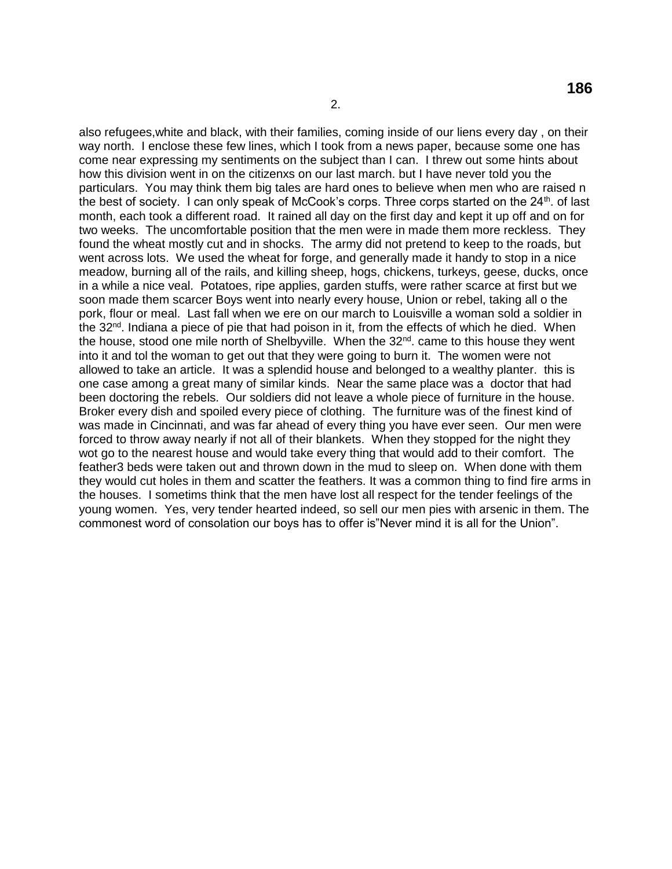also refugees,white and black, with their families, coming inside of our liens every day , on their way north. I enclose these few lines, which I took from a news paper, because some one has come near expressing my sentiments on the subject than I can. I threw out some hints about how this division went in on the citizenxs on our last march. but I have never told you the particulars. You may think them big tales are hard ones to believe when men who are raised n the best of society. I can only speak of McCook's corps. Three corps started on the  $24<sup>th</sup>$ . of last month, each took a different road. It rained all day on the first day and kept it up off and on for two weeks. The uncomfortable position that the men were in made them more reckless. They found the wheat mostly cut and in shocks. The army did not pretend to keep to the roads, but went across lots. We used the wheat for forge, and generally made it handy to stop in a nice meadow, burning all of the rails, and killing sheep, hogs, chickens, turkeys, geese, ducks, once in a while a nice veal. Potatoes, ripe applies, garden stuffs, were rather scarce at first but we soon made them scarcer Boys went into nearly every house, Union or rebel, taking all o the pork, flour or meal. Last fall when we ere on our march to Louisville a woman sold a soldier in the 32nd. Indiana a piece of pie that had poison in it, from the effects of which he died. When the house, stood one mile north of Shelbyville. When the  $32<sup>nd</sup>$  came to this house they went into it and tol the woman to get out that they were going to burn it. The women were not allowed to take an article. It was a splendid house and belonged to a wealthy planter. this is one case among a great many of similar kinds. Near the same place was a doctor that had been doctoring the rebels. Our soldiers did not leave a whole piece of furniture in the house. Broker every dish and spoiled every piece of clothing. The furniture was of the finest kind of was made in Cincinnati, and was far ahead of every thing you have ever seen. Our men were forced to throw away nearly if not all of their blankets. When they stopped for the night they wot go to the nearest house and would take every thing that would add to their comfort. The feather3 beds were taken out and thrown down in the mud to sleep on. When done with them they would cut holes in them and scatter the feathers. It was a common thing to find fire arms in the houses. I sometims think that the men have lost all respect for the tender feelings of the young women. Yes, very tender hearted indeed, so sell our men pies with arsenic in them. The commonest word of consolation our boys has to offer is"Never mind it is all for the Union".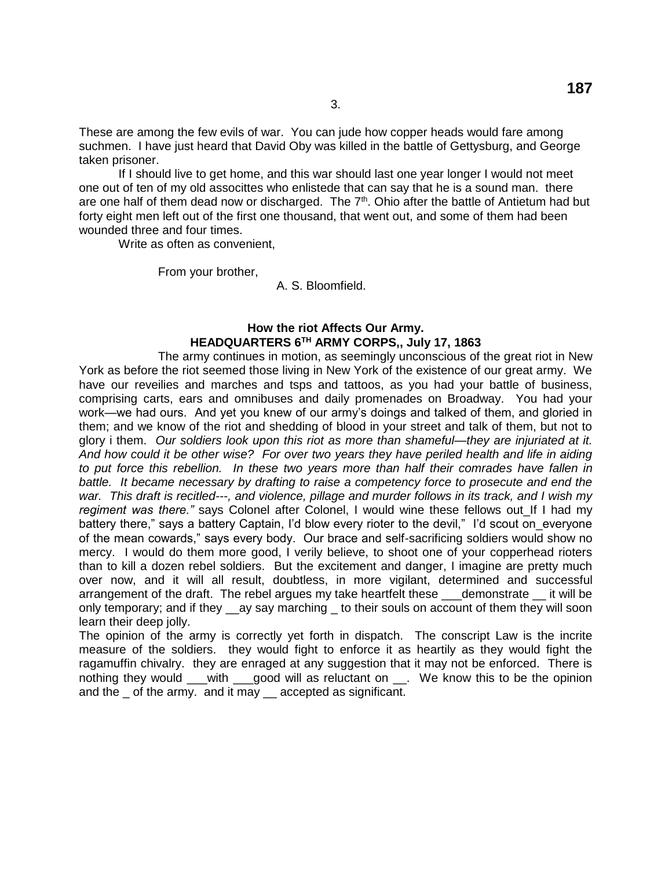These are among the few evils of war. You can jude how copper heads would fare among suchmen. I have just heard that David Oby was killed in the battle of Gettysburg, and George taken prisoner.

3.

If I should live to get home, and this war should last one year longer I would not meet one out of ten of my old associttes who enlistede that can say that he is a sound man. there are one half of them dead now or discharged. The 7<sup>th</sup>. Ohio after the battle of Antietum had but forty eight men left out of the first one thousand, that went out, and some of them had been wounded three and four times.

Write as often as convenient,

From your brother,

## A. S. Bloomfield.

## **How the riot Affects Our Army. HEADQUARTERS 6TH ARMY CORPS,, July 17, 1863**

The army continues in motion, as seemingly unconscious of the great riot in New York as before the riot seemed those living in New York of the existence of our great army. We have our reveilies and marches and tsps and tattoos, as you had your battle of business, comprising carts, ears and omnibuses and daily promenades on Broadway. You had your work—we had ours. And yet you knew of our army's doings and talked of them, and gloried in them; and we know of the riot and shedding of blood in your street and talk of them, but not to glory i them. *Our soldiers look upon this riot as more than shameful—they are injuriated at it. And how could it be other wise? For over two years they have periled health and life in aiding to put force this rebellion. In these two years more than half their comrades have fallen in battle. It became necessary by drafting to raise a competency force to prosecute and end the war. This draft is recitled---, and violence, pillage and murder follows in its track, and I wish my*  regiment was there." says Colonel after Colonel, I would wine these fellows out If I had my battery there," says a battery Captain, I'd blow every rioter to the devil," I'd scout on everyone of the mean cowards," says every body. Our brace and self-sacrificing soldiers would show no mercy. I would do them more good, I verily believe, to shoot one of your copperhead rioters than to kill a dozen rebel soldiers. But the excitement and danger, I imagine are pretty much over now, and it will all result, doubtless, in more vigilant, determined and successful arrangement of the draft. The rebel argues my take heartfelt these demonstrate it will be only temporary; and if they ay say marching to their souls on account of them they will soon learn their deep jolly.

The opinion of the army is correctly yet forth in dispatch. The conscript Law is the incrite measure of the soldiers. they would fight to enforce it as heartily as they would fight the ragamuffin chivalry. they are enraged at any suggestion that it may not be enforced. There is nothing they would \_\_\_with \_\_\_good will as reluctant on \_\_. We know this to be the opinion and the \_ of the army. and it may \_\_ accepted as significant.

**187**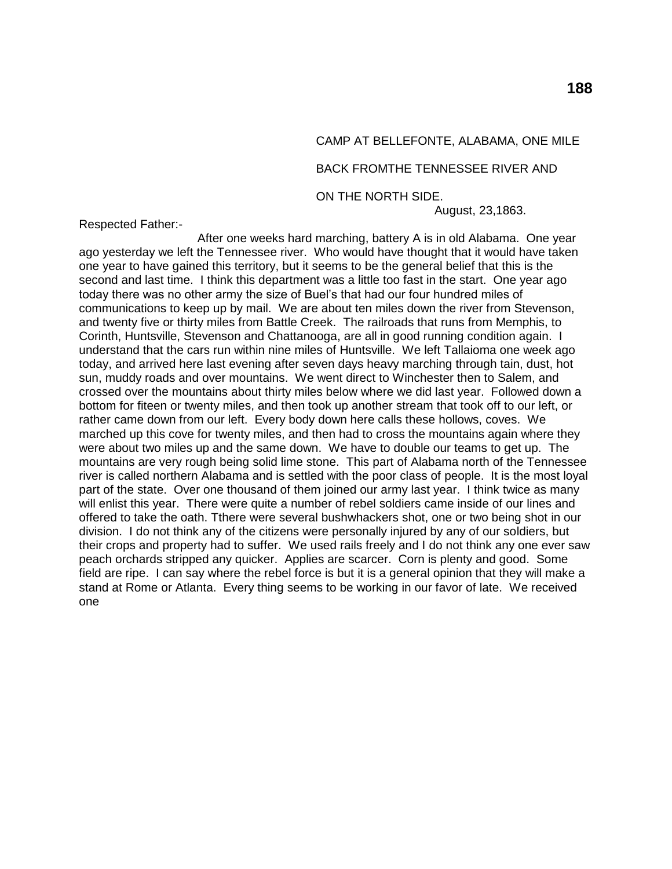# CAMP AT BELLEFONTE, ALABAMA, ONE MILE

#### BACK FROMTHE TENNESSEE RIVER AND

ON THE NORTH SIDE.

August, 23,1863.

Respected Father:-

After one weeks hard marching, battery A is in old Alabama. One year ago yesterday we left the Tennessee river. Who would have thought that it would have taken one year to have gained this territory, but it seems to be the general belief that this is the second and last time. I think this department was a little too fast in the start. One year ago today there was no other army the size of Buel's that had our four hundred miles of communications to keep up by mail. We are about ten miles down the river from Stevenson, and twenty five or thirty miles from Battle Creek. The railroads that runs from Memphis, to Corinth, Huntsville, Stevenson and Chattanooga, are all in good running condition again. I understand that the cars run within nine miles of Huntsville. We left Tallaioma one week ago today, and arrived here last evening after seven days heavy marching through tain, dust, hot sun, muddy roads and over mountains. We went direct to Winchester then to Salem, and crossed over the mountains about thirty miles below where we did last year. Followed down a bottom for fiteen or twenty miles, and then took up another stream that took off to our left, or rather came down from our left. Every body down here calls these hollows, coves. We marched up this cove for twenty miles, and then had to cross the mountains again where they were about two miles up and the same down. We have to double our teams to get up. The mountains are very rough being solid lime stone. This part of Alabama north of the Tennessee river is called northern Alabama and is settled with the poor class of people. It is the most loyal part of the state. Over one thousand of them joined our army last year. I think twice as many will enlist this year. There were quite a number of rebel soldiers came inside of our lines and offered to take the oath. Tthere were several bushwhackers shot, one or two being shot in our division. I do not think any of the citizens were personally injured by any of our soldiers, but their crops and property had to suffer. We used rails freely and I do not think any one ever saw peach orchards stripped any quicker. Applies are scarcer. Corn is plenty and good. Some field are ripe. I can say where the rebel force is but it is a general opinion that they will make a stand at Rome or Atlanta. Every thing seems to be working in our favor of late. We received one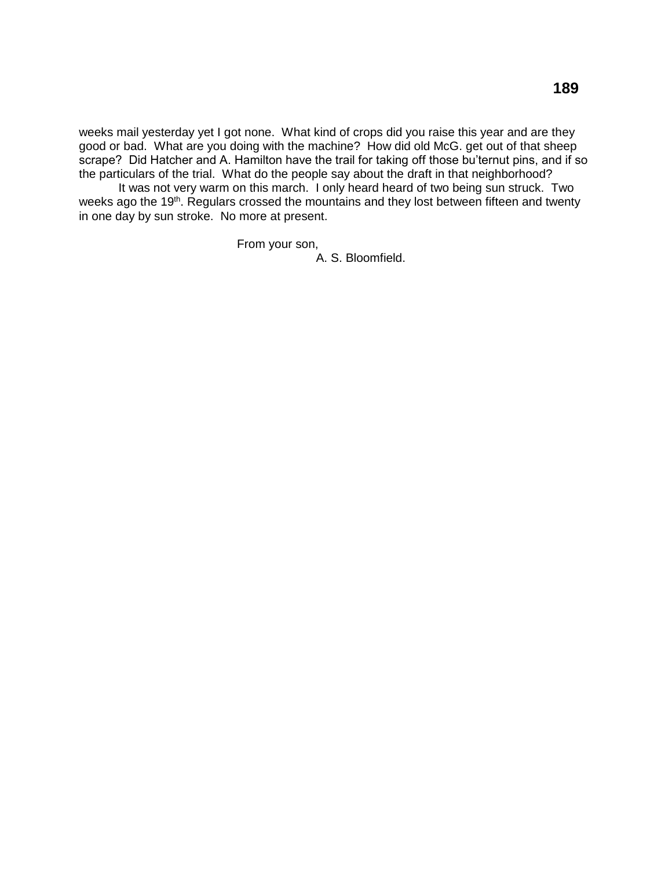weeks mail yesterday yet I got none. What kind of crops did you raise this year and are they good or bad. What are you doing with the machine? How did old McG. get out of that sheep scrape? Did Hatcher and A. Hamilton have the trail for taking off those bu'ternut pins, and if so the particulars of the trial. What do the people say about the draft in that neighborhood?

It was not very warm on this march. I only heard heard of two being sun struck. Two weeks ago the 19<sup>th</sup>. Regulars crossed the mountains and they lost between fifteen and twenty in one day by sun stroke. No more at present.

From your son,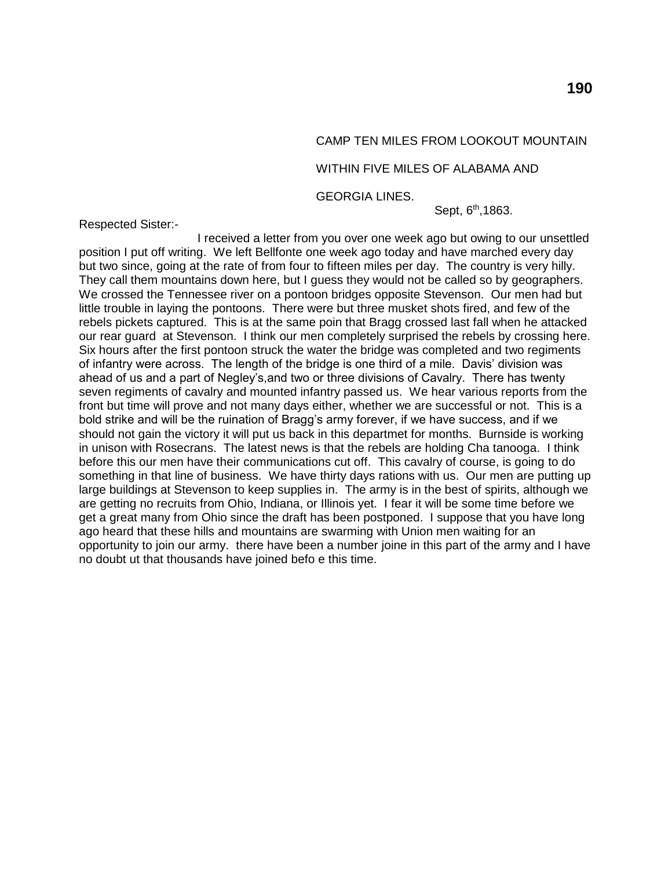# CAMP TEN MILES FROM LOOKOUT MOUNTAIN

## WITHIN FIVE MILES OF ALABAMA AND

GEORGIA LINES.

Respected Sister:-

Sept, 6<sup>th</sup>,1863.

I received a letter from you over one week ago but owing to our unsettled position I put off writing. We left Bellfonte one week ago today and have marched every day but two since, going at the rate of from four to fifteen miles per day. The country is very hilly. They call them mountains down here, but I guess they would not be called so by geographers. We crossed the Tennessee river on a pontoon bridges opposite Stevenson. Our men had but little trouble in laying the pontoons. There were but three musket shots fired, and few of the rebels pickets captured. This is at the same poin that Bragg crossed last fall when he attacked our rear guard at Stevenson. I think our men completely surprised the rebels by crossing here. Six hours after the first pontoon struck the water the bridge was completed and two regiments of infantry were across. The length of the bridge is one third of a mile. Davis' division was ahead of us and a part of Negley's,and two or three divisions of Cavalry. There has twenty seven regiments of cavalry and mounted infantry passed us. We hear various reports from the front but time will prove and not many days either, whether we are successful or not. This is a bold strike and will be the ruination of Bragg's army forever, if we have success, and if we should not gain the victory it will put us back in this departmet for months. Burnside is working in unison with Rosecrans. The latest news is that the rebels are holding Cha tanooga. I think before this our men have their communications cut off. This cavalry of course, is going to do something in that line of business. We have thirty days rations with us. Our men are putting up large buildings at Stevenson to keep supplies in. The army is in the best of spirits, although we are getting no recruits from Ohio, Indiana, or Illinois yet. I fear it will be some time before we get a great many from Ohio since the draft has been postponed. I suppose that you have long ago heard that these hills and mountains are swarming with Union men waiting for an opportunity to join our army. there have been a number joine in this part of the army and I have no doubt ut that thousands have joined befo e this time.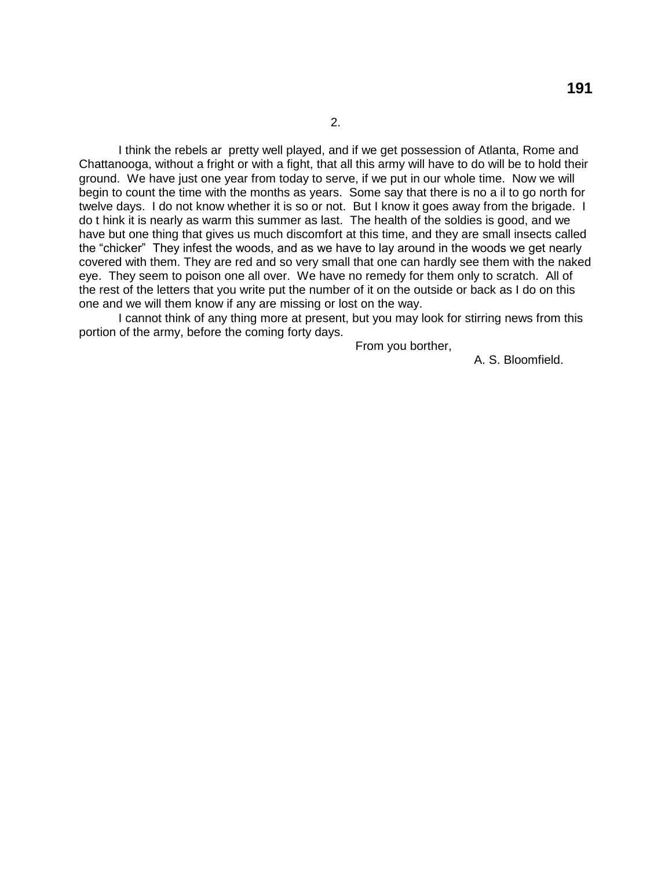I think the rebels ar pretty well played, and if we get possession of Atlanta, Rome and Chattanooga, without a fright or with a fight, that all this army will have to do will be to hold their ground. We have just one year from today to serve, if we put in our whole time. Now we will begin to count the time with the months as years. Some say that there is no a il to go north for twelve days. I do not know whether it is so or not. But I know it goes away from the brigade. I do t hink it is nearly as warm this summer as last. The health of the soldies is good, and we have but one thing that gives us much discomfort at this time, and they are small insects called the "chicker" They infest the woods, and as we have to lay around in the woods we get nearly covered with them. They are red and so very small that one can hardly see them with the naked eye. They seem to poison one all over. We have no remedy for them only to scratch. All of the rest of the letters that you write put the number of it on the outside or back as I do on this one and we will them know if any are missing or lost on the way.

I cannot think of any thing more at present, but you may look for stirring news from this portion of the army, before the coming forty days.

From you borther,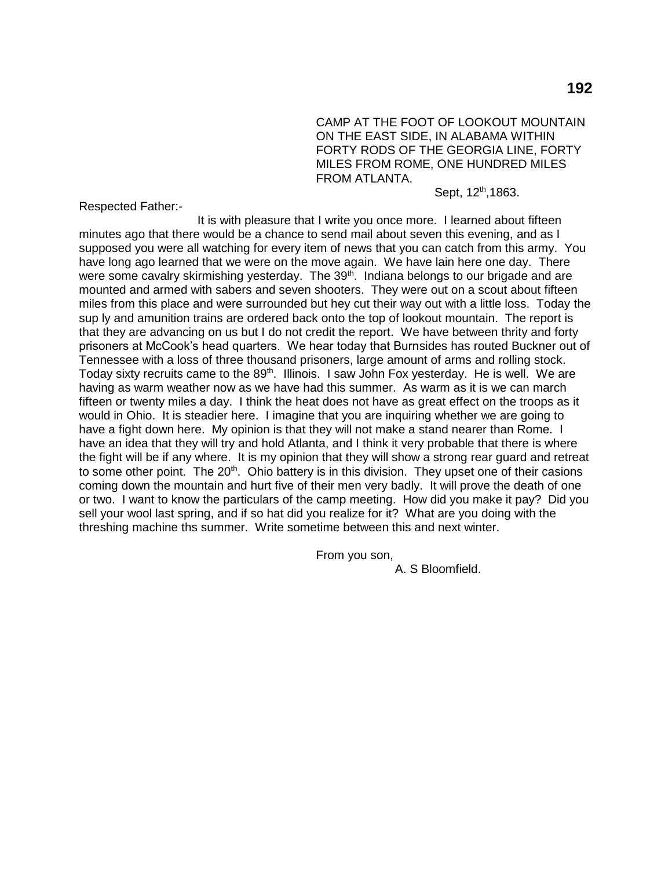CAMP AT THE FOOT OF LOOKOUT MOUNTAIN ON THE EAST SIDE, IN ALABAMA WITHIN FORTY RODS OF THE GEORGIA LINE, FORTY MILES FROM ROME, ONE HUNDRED MILES FROM ATLANTA.

Sept, 12<sup>th</sup>,1863.

Respected Father:-

It is with pleasure that I write you once more. I learned about fifteen minutes ago that there would be a chance to send mail about seven this evening, and as I supposed you were all watching for every item of news that you can catch from this army. You have long ago learned that we were on the move again. We have lain here one day. There were some cavalry skirmishing yesterday. The 39<sup>th</sup>. Indiana belongs to our brigade and are mounted and armed with sabers and seven shooters. They were out on a scout about fifteen miles from this place and were surrounded but hey cut their way out with a little loss. Today the sup ly and amunition trains are ordered back onto the top of lookout mountain. The report is that they are advancing on us but I do not credit the report. We have between thrity and forty prisoners at McCook's head quarters. We hear today that Burnsides has routed Buckner out of Tennessee with a loss of three thousand prisoners, large amount of arms and rolling stock. Today sixty recruits came to the  $89<sup>th</sup>$ . Illinois. I saw John Fox yesterday. He is well. We are having as warm weather now as we have had this summer. As warm as it is we can march fifteen or twenty miles a day. I think the heat does not have as great effect on the troops as it would in Ohio. It is steadier here. I imagine that you are inquiring whether we are going to have a fight down here. My opinion is that they will not make a stand nearer than Rome. I have an idea that they will try and hold Atlanta, and I think it very probable that there is where the fight will be if any where. It is my opinion that they will show a strong rear guard and retreat to some other point. The  $20<sup>th</sup>$ . Ohio battery is in this division. They upset one of their casions coming down the mountain and hurt five of their men very badly. It will prove the death of one or two. I want to know the particulars of the camp meeting. How did you make it pay? Did you sell your wool last spring, and if so hat did you realize for it? What are you doing with the threshing machine ths summer. Write sometime between this and next winter.

From you son,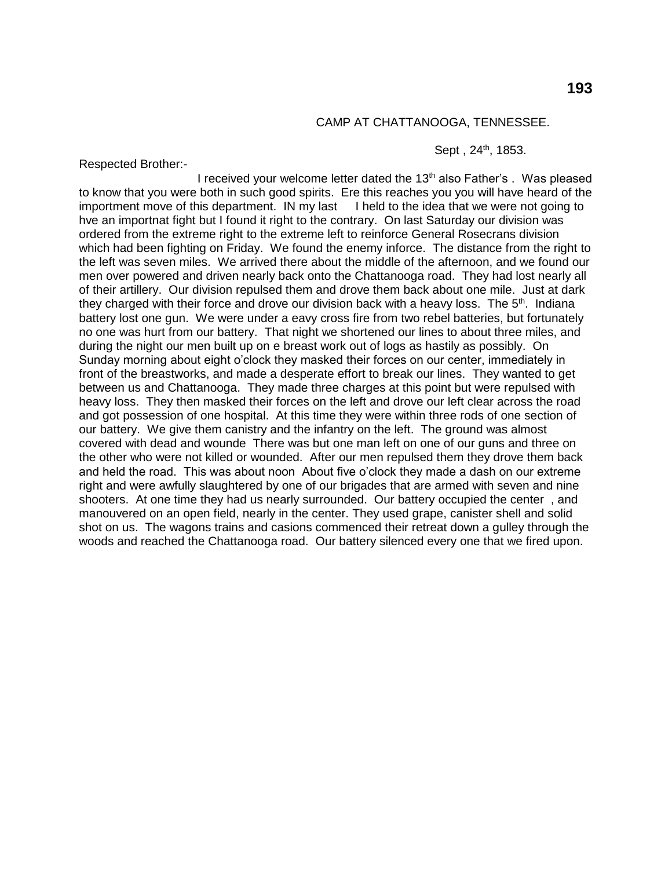#### CAMP AT CHATTANOOGA, TENNESSEE.

#### Sept, 24<sup>th</sup>, 1853.

Respected Brother:-

I received your welcome letter dated the 13<sup>th</sup> also Father's . Was pleased to know that you were both in such good spirits. Ere this reaches you you will have heard of the importment move of this department. IN my last I held to the idea that we were not going to hve an importnat fight but I found it right to the contrary. On last Saturday our division was ordered from the extreme right to the extreme left to reinforce General Rosecrans division which had been fighting on Friday. We found the enemy inforce. The distance from the right to the left was seven miles. We arrived there about the middle of the afternoon, and we found our men over powered and driven nearly back onto the Chattanooga road. They had lost nearly all of their artillery. Our division repulsed them and drove them back about one mile. Just at dark they charged with their force and drove our division back with a heavy loss. The  $5<sup>th</sup>$ . Indiana battery lost one gun. We were under a eavy cross fire from two rebel batteries, but fortunately no one was hurt from our battery. That night we shortened our lines to about three miles, and during the night our men built up on e breast work out of logs as hastily as possibly. On Sunday morning about eight o'clock they masked their forces on our center, immediately in front of the breastworks, and made a desperate effort to break our lines. They wanted to get between us and Chattanooga. They made three charges at this point but were repulsed with heavy loss. They then masked their forces on the left and drove our left clear across the road and got possession of one hospital. At this time they were within three rods of one section of our battery. We give them canistry and the infantry on the left. The ground was almost covered with dead and wounde There was but one man left on one of our guns and three on the other who were not killed or wounded. After our men repulsed them they drove them back and held the road. This was about noon About five o'clock they made a dash on our extreme right and were awfully slaughtered by one of our brigades that are armed with seven and nine shooters. At one time they had us nearly surrounded. Our battery occupied the center , and manouvered on an open field, nearly in the center. They used grape, canister shell and solid shot on us. The wagons trains and casions commenced their retreat down a gulley through the woods and reached the Chattanooga road. Our battery silenced every one that we fired upon.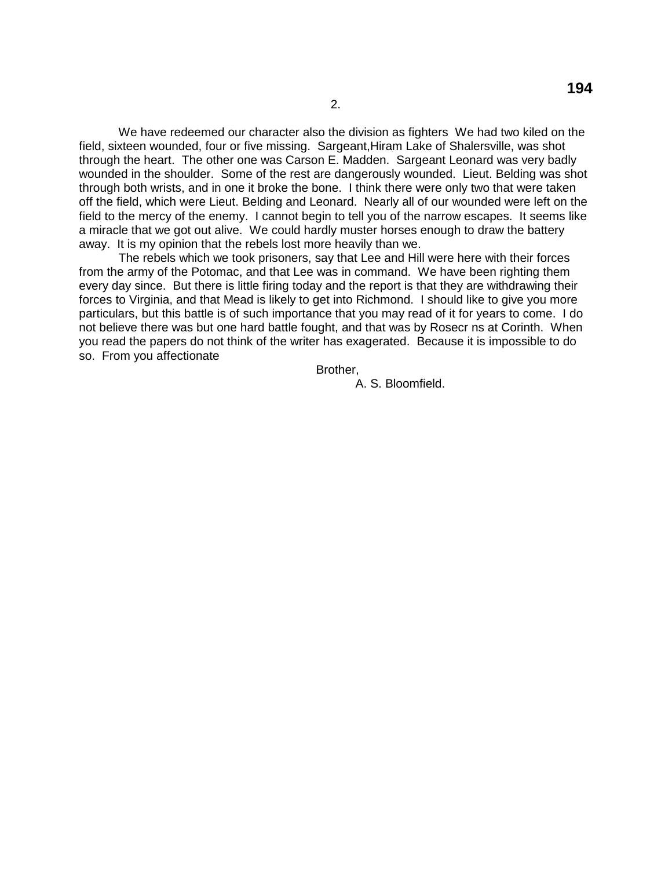We have redeemed our character also the division as fighters We had two kiled on the field, sixteen wounded, four or five missing. Sargeant,Hiram Lake of Shalersville, was shot through the heart. The other one was Carson E. Madden. Sargeant Leonard was very badly wounded in the shoulder. Some of the rest are dangerously wounded. Lieut. Belding was shot through both wrists, and in one it broke the bone. I think there were only two that were taken off the field, which were Lieut. Belding and Leonard. Nearly all of our wounded were left on the field to the mercy of the enemy. I cannot begin to tell you of the narrow escapes. It seems like a miracle that we got out alive. We could hardly muster horses enough to draw the battery away. It is my opinion that the rebels lost more heavily than we.

The rebels which we took prisoners, say that Lee and Hill were here with their forces from the army of the Potomac, and that Lee was in command. We have been righting them every day since. But there is little firing today and the report is that they are withdrawing their forces to Virginia, and that Mead is likely to get into Richmond. I should like to give you more particulars, but this battle is of such importance that you may read of it for years to come. I do not believe there was but one hard battle fought, and that was by Rosecr ns at Corinth. When you read the papers do not think of the writer has exagerated. Because it is impossible to do so. From you affectionate

Brother,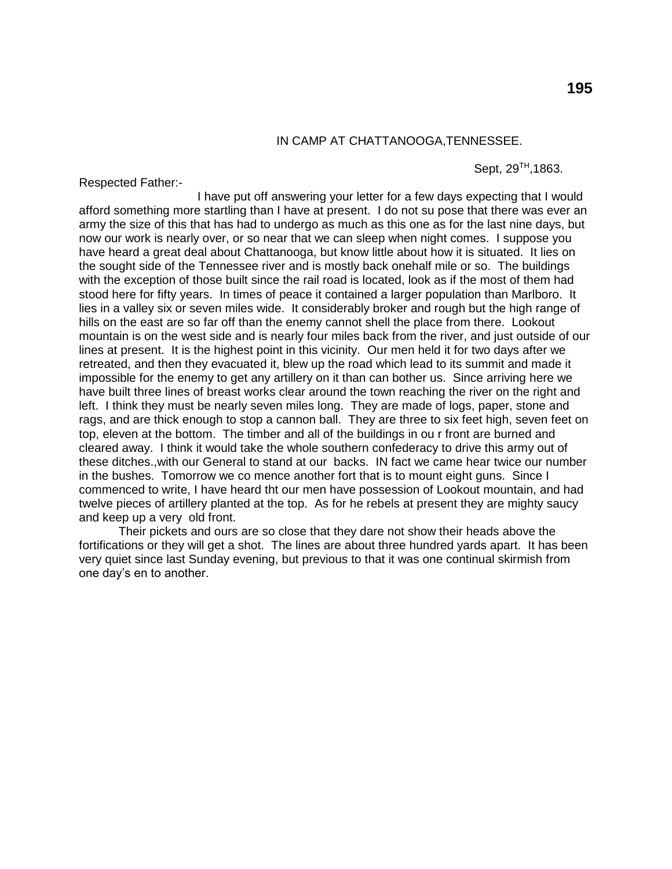## IN CAMP AT CHATTANOOGA,TENNESSEE.

Respected Father:-

Sept, 29<sup>™</sup>,1863.

I have put off answering your letter for a few days expecting that I would afford something more startling than I have at present. I do not su pose that there was ever an army the size of this that has had to undergo as much as this one as for the last nine days, but now our work is nearly over, or so near that we can sleep when night comes. I suppose you have heard a great deal about Chattanooga, but know little about how it is situated. It lies on the sought side of the Tennessee river and is mostly back onehalf mile or so. The buildings with the exception of those built since the rail road is located, look as if the most of them had stood here for fifty years. In times of peace it contained a larger population than Marlboro. It lies in a valley six or seven miles wide. It considerably broker and rough but the high range of hills on the east are so far off than the enemy cannot shell the place from there. Lookout mountain is on the west side and is nearly four miles back from the river, and just outside of our lines at present. It is the highest point in this vicinity. Our men held it for two days after we retreated, and then they evacuated it, blew up the road which lead to its summit and made it impossible for the enemy to get any artillery on it than can bother us. Since arriving here we have built three lines of breast works clear around the town reaching the river on the right and left. I think they must be nearly seven miles long. They are made of logs, paper, stone and rags, and are thick enough to stop a cannon ball. They are three to six feet high, seven feet on top, eleven at the bottom. The timber and all of the buildings in ou r front are burned and cleared away. I think it would take the whole southern confederacy to drive this army out of these ditches.,with our General to stand at our backs. IN fact we came hear twice our number in the bushes. Tomorrow we co mence another fort that is to mount eight guns. Since I commenced to write, I have heard tht our men have possession of Lookout mountain, and had twelve pieces of artillery planted at the top. As for he rebels at present they are mighty saucy and keep up a very old front.

Their pickets and ours are so close that they dare not show their heads above the fortifications or they will get a shot. The lines are about three hundred yards apart. It has been very quiet since last Sunday evening, but previous to that it was one continual skirmish from one day's en to another.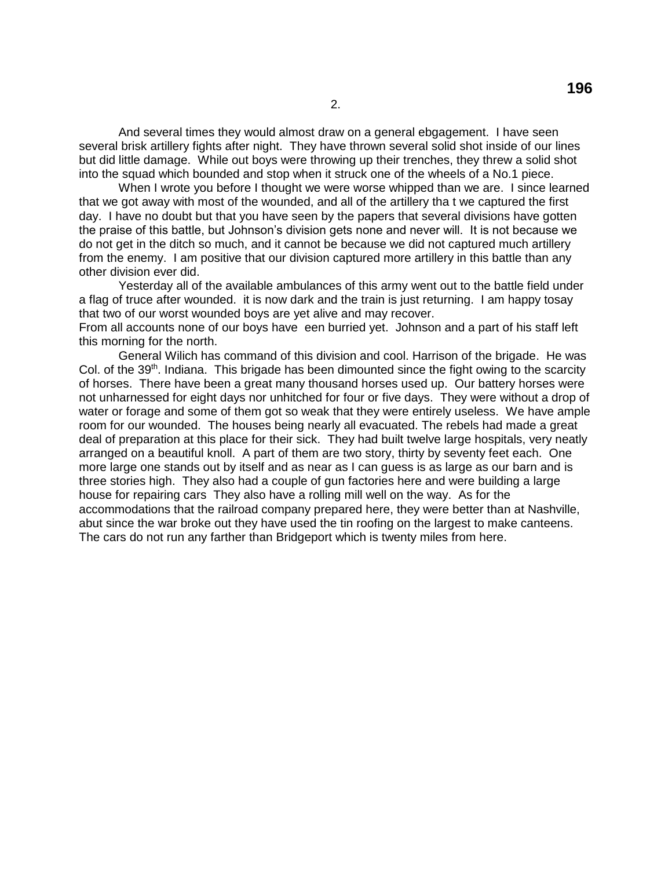And several times they would almost draw on a general ebgagement. I have seen several brisk artillery fights after night. They have thrown several solid shot inside of our lines but did little damage. While out boys were throwing up their trenches, they threw a solid shot into the squad which bounded and stop when it struck one of the wheels of a No.1 piece.

When I wrote you before I thought we were worse whipped than we are. I since learned that we got away with most of the wounded, and all of the artillery tha t we captured the first day. I have no doubt but that you have seen by the papers that several divisions have gotten the praise of this battle, but Johnson's division gets none and never will. It is not because we do not get in the ditch so much, and it cannot be because we did not captured much artillery from the enemy. I am positive that our division captured more artillery in this battle than any other division ever did.

Yesterday all of the available ambulances of this army went out to the battle field under a flag of truce after wounded. it is now dark and the train is just returning. I am happy tosay that two of our worst wounded boys are yet alive and may recover.

From all accounts none of our boys have een burried yet. Johnson and a part of his staff left this morning for the north.

General Wilich has command of this division and cool. Harrison of the brigade. He was Col. of the  $39<sup>th</sup>$ . Indiana. This brigade has been dimounted since the fight owing to the scarcity of horses. There have been a great many thousand horses used up. Our battery horses were not unharnessed for eight days nor unhitched for four or five days. They were without a drop of water or forage and some of them got so weak that they were entirely useless. We have ample room for our wounded. The houses being nearly all evacuated. The rebels had made a great deal of preparation at this place for their sick. They had built twelve large hospitals, very neatly arranged on a beautiful knoll. A part of them are two story, thirty by seventy feet each. One more large one stands out by itself and as near as I can guess is as large as our barn and is three stories high. They also had a couple of gun factories here and were building a large house for repairing cars They also have a rolling mill well on the way. As for the accommodations that the railroad company prepared here, they were better than at Nashville, abut since the war broke out they have used the tin roofing on the largest to make canteens. The cars do not run any farther than Bridgeport which is twenty miles from here.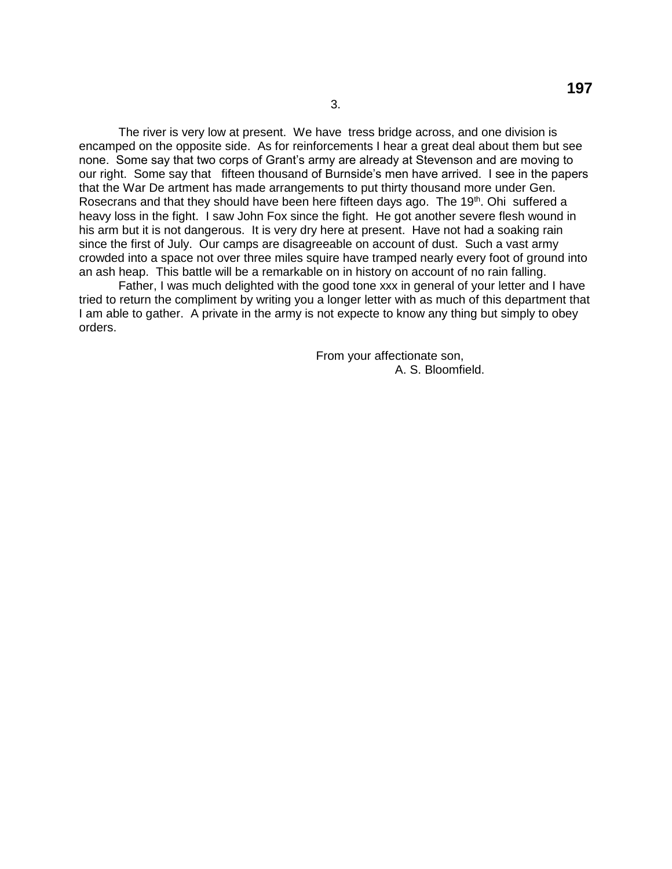The river is very low at present. We have tress bridge across, and one division is encamped on the opposite side. As for reinforcements I hear a great deal about them but see none. Some say that two corps of Grant's army are already at Stevenson and are moving to our right. Some say that fifteen thousand of Burnside's men have arrived. I see in the papers that the War De artment has made arrangements to put thirty thousand more under Gen. Rosecrans and that they should have been here fifteen days ago. The  $19<sup>th</sup>$ . Ohi suffered a heavy loss in the fight. I saw John Fox since the fight. He got another severe flesh wound in his arm but it is not dangerous. It is very dry here at present. Have not had a soaking rain since the first of July. Our camps are disagreeable on account of dust. Such a vast army crowded into a space not over three miles squire have tramped nearly every foot of ground into an ash heap. This battle will be a remarkable on in history on account of no rain falling.

Father, I was much delighted with the good tone xxx in general of your letter and I have tried to return the compliment by writing you a longer letter with as much of this department that I am able to gather. A private in the army is not expecte to know any thing but simply to obey orders.

> From your affectionate son, A. S. Bloomfield.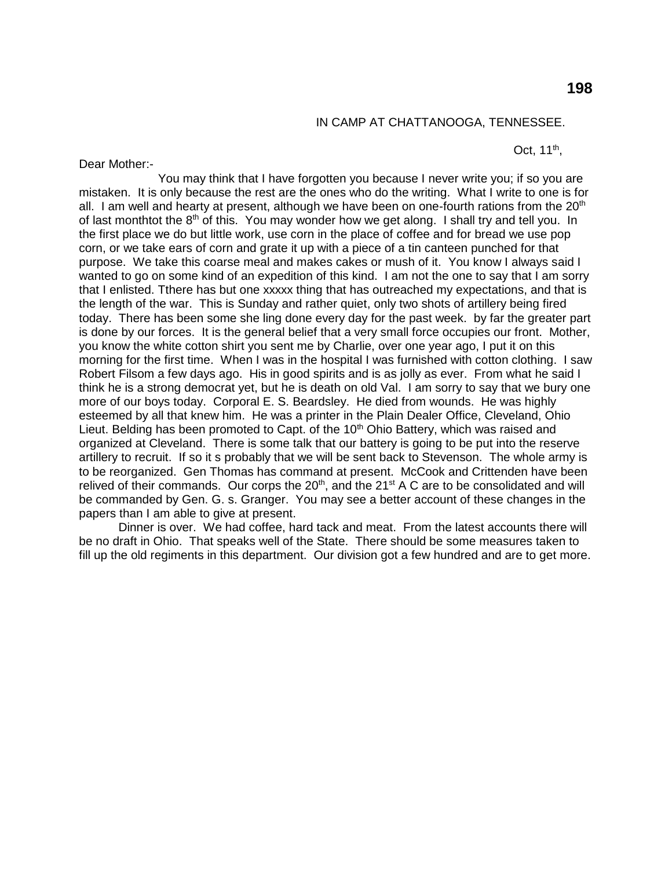#### IN CAMP AT CHATTANOOGA, TENNESSEE.

Oct,  $11^{th}$ ,

Dear Mother:-

You may think that I have forgotten you because I never write you; if so you are mistaken. It is only because the rest are the ones who do the writing. What I write to one is for all. I am well and hearty at present, although we have been on one-fourth rations from the  $20<sup>th</sup>$ of last monthtot the 8<sup>th</sup> of this. You may wonder how we get along. I shall try and tell you. In the first place we do but little work, use corn in the place of coffee and for bread we use pop corn, or we take ears of corn and grate it up with a piece of a tin canteen punched for that purpose. We take this coarse meal and makes cakes or mush of it. You know I always said I wanted to go on some kind of an expedition of this kind. I am not the one to say that I am sorry that I enlisted. Tthere has but one xxxxx thing that has outreached my expectations, and that is the length of the war. This is Sunday and rather quiet, only two shots of artillery being fired today. There has been some she ling done every day for the past week. by far the greater part is done by our forces. It is the general belief that a very small force occupies our front. Mother, you know the white cotton shirt you sent me by Charlie, over one year ago, I put it on this morning for the first time. When I was in the hospital I was furnished with cotton clothing. I saw Robert Filsom a few days ago. His in good spirits and is as jolly as ever. From what he said I think he is a strong democrat yet, but he is death on old Val. I am sorry to say that we bury one more of our boys today. Corporal E. S. Beardsley. He died from wounds. He was highly esteemed by all that knew him. He was a printer in the Plain Dealer Office, Cleveland, Ohio Lieut. Belding has been promoted to Capt. of the  $10<sup>th</sup>$  Ohio Battery, which was raised and organized at Cleveland. There is some talk that our battery is going to be put into the reserve artillery to recruit. If so it s probably that we will be sent back to Stevenson. The whole army is to be reorganized. Gen Thomas has command at present. McCook and Crittenden have been relived of their commands. Our corps the  $20<sup>th</sup>$ , and the  $21<sup>st</sup>$  A C are to be consolidated and will be commanded by Gen. G. s. Granger. You may see a better account of these changes in the papers than I am able to give at present.

Dinner is over. We had coffee, hard tack and meat. From the latest accounts there will be no draft in Ohio. That speaks well of the State. There should be some measures taken to fill up the old regiments in this department. Our division got a few hundred and are to get more.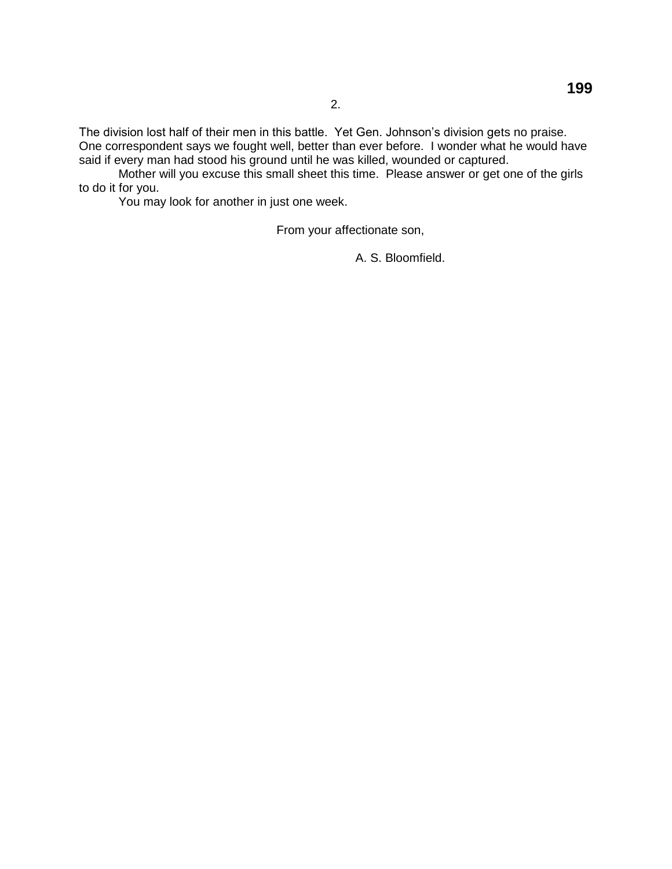The division lost half of their men in this battle. Yet Gen. Johnson's division gets no praise. One correspondent says we fought well, better than ever before. I wonder what he would have said if every man had stood his ground until he was killed, wounded or captured.

Mother will you excuse this small sheet this time. Please answer or get one of the girls to do it for you.

You may look for another in just one week.

From your affectionate son,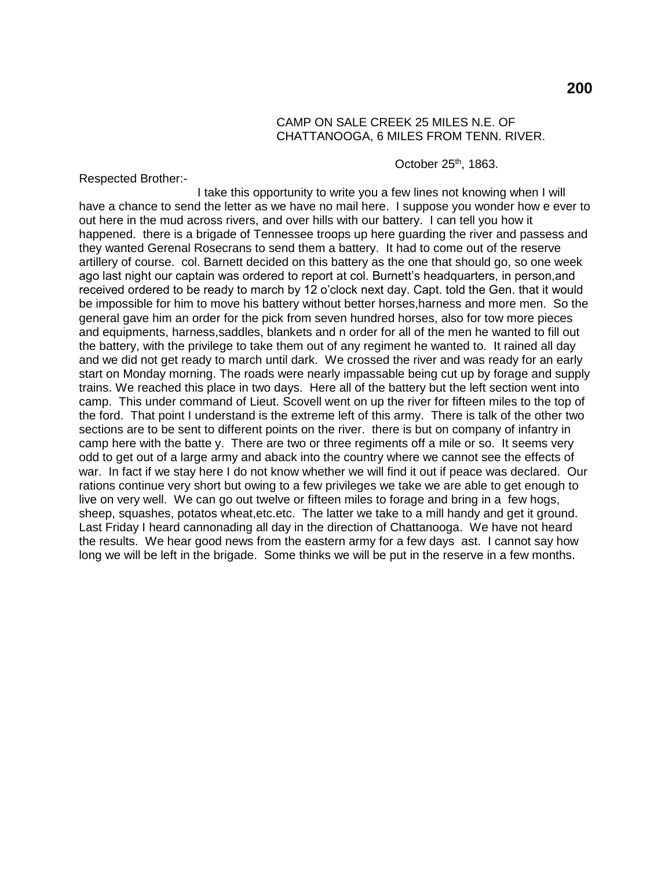## CAMP ON SALE CREEK 25 MILES N.E. OF CHATTANOOGA, 6 MILES FROM TENN. RIVER.

October  $25<sup>th</sup>$ , 1863.

Respected Brother:-

I take this opportunity to write you a few lines not knowing when I will have a chance to send the letter as we have no mail here. I suppose you wonder how e ever to out here in the mud across rivers, and over hills with our battery. I can tell you how it happened. there is a brigade of Tennessee troops up here guarding the river and passess and they wanted Gerenal Rosecrans to send them a battery. It had to come out of the reserve artillery of course. col. Barnett decided on this battery as the one that should go, so one week ago last night our captain was ordered to report at col. Burnett's headquarters, in person,and received ordered to be ready to march by 12 o'clock next day. Capt. told the Gen. that it would be impossible for him to move his battery without better horses,harness and more men. So the general gave him an order for the pick from seven hundred horses, also for tow more pieces and equipments, harness,saddles, blankets and n order for all of the men he wanted to fill out the battery, with the privilege to take them out of any regiment he wanted to. It rained all day and we did not get ready to march until dark. We crossed the river and was ready for an early start on Monday morning. The roads were nearly impassable being cut up by forage and supply trains. We reached this place in two days. Here all of the battery but the left section went into camp. This under command of Lieut. Scovell went on up the river for fifteen miles to the top of the ford. That point I understand is the extreme left of this army. There is talk of the other two sections are to be sent to different points on the river. there is but on company of infantry in camp here with the batte y. There are two or three regiments off a mile or so. It seems very odd to get out of a large army and aback into the country where we cannot see the effects of war. In fact if we stay here I do not know whether we will find it out if peace was declared. Our rations continue very short but owing to a few privileges we take we are able to get enough to live on very well. We can go out twelve or fifteen miles to forage and bring in a few hogs, sheep, squashes, potatos wheat, etc. etc. The latter we take to a mill handy and get it ground. Last Friday I heard cannonading all day in the direction of Chattanooga. We have not heard the results. We hear good news from the eastern army for a few days ast. I cannot say how long we will be left in the brigade. Some thinks we will be put in the reserve in a few months.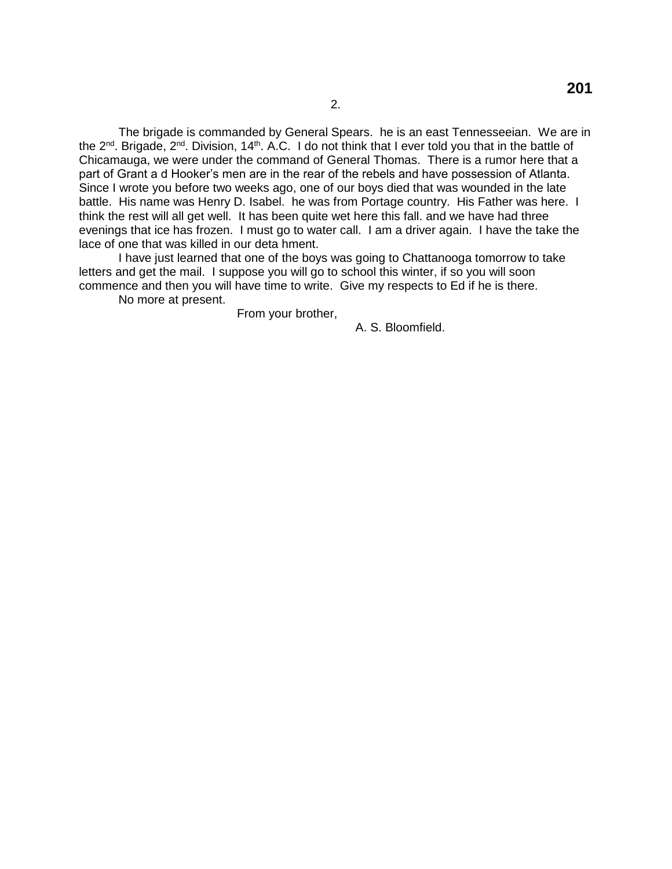The brigade is commanded by General Spears. he is an east Tennesseeian. We are in the  $2^{nd}$ . Brigade,  $2^{nd}$ . Division, 14<sup>th</sup>. A.C. 1 do not think that I ever told you that in the battle of Chicamauga, we were under the command of General Thomas. There is a rumor here that a part of Grant a d Hooker's men are in the rear of the rebels and have possession of Atlanta. Since I wrote you before two weeks ago, one of our boys died that was wounded in the late battle. His name was Henry D. Isabel. he was from Portage country. His Father was here. I think the rest will all get well. It has been quite wet here this fall. and we have had three evenings that ice has frozen. I must go to water call. I am a driver again. I have the take the lace of one that was killed in our deta hment.

I have just learned that one of the boys was going to Chattanooga tomorrow to take letters and get the mail. I suppose you will go to school this winter, if so you will soon commence and then you will have time to write. Give my respects to Ed if he is there.

No more at present.

From your brother,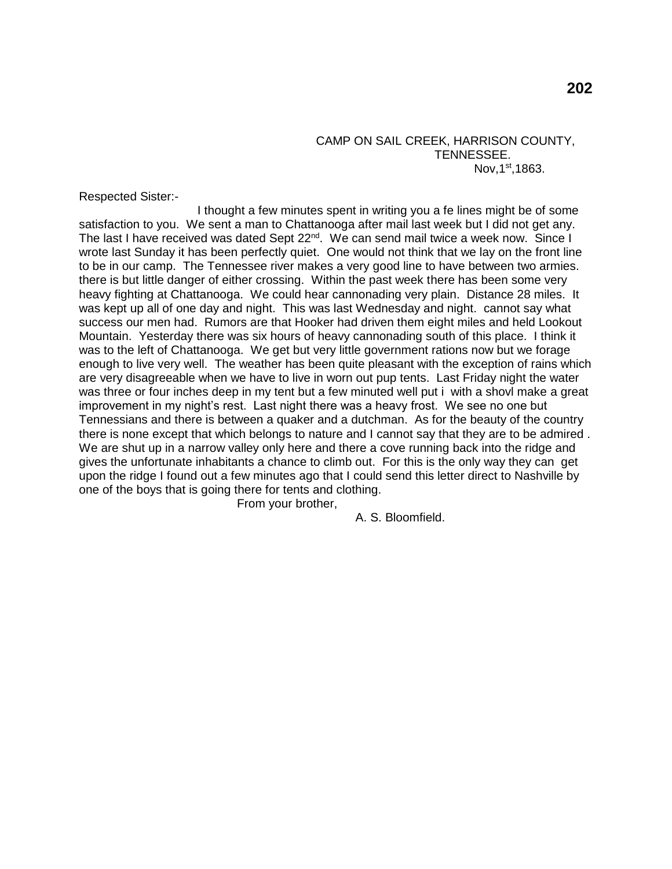CAMP ON SAIL CREEK, HARRISON COUNTY, TENNESSEE. Nov, $1<sup>st</sup>$ ,1863.

Respected Sister:-

I thought a few minutes spent in writing you a fe lines might be of some satisfaction to you. We sent a man to Chattanooga after mail last week but I did not get any. The last I have received was dated Sept 22<sup>nd</sup>. We can send mail twice a week now. Since I wrote last Sunday it has been perfectly quiet. One would not think that we lay on the front line to be in our camp. The Tennessee river makes a very good line to have between two armies. there is but little danger of either crossing. Within the past week there has been some very heavy fighting at Chattanooga. We could hear cannonading very plain. Distance 28 miles. It was kept up all of one day and night. This was last Wednesday and night. cannot say what success our men had. Rumors are that Hooker had driven them eight miles and held Lookout Mountain. Yesterday there was six hours of heavy cannonading south of this place. I think it was to the left of Chattanooga. We get but very little government rations now but we forage enough to live very well. The weather has been quite pleasant with the exception of rains which are very disagreeable when we have to live in worn out pup tents. Last Friday night the water was three or four inches deep in my tent but a few minuted well put i with a shovl make a great improvement in my night's rest. Last night there was a heavy frost. We see no one but Tennessians and there is between a quaker and a dutchman. As for the beauty of the country there is none except that which belongs to nature and I cannot say that they are to be admired . We are shut up in a narrow valley only here and there a cove running back into the ridge and gives the unfortunate inhabitants a chance to climb out. For this is the only way they can get upon the ridge I found out a few minutes ago that I could send this letter direct to Nashville by one of the boys that is going there for tents and clothing.

From your brother,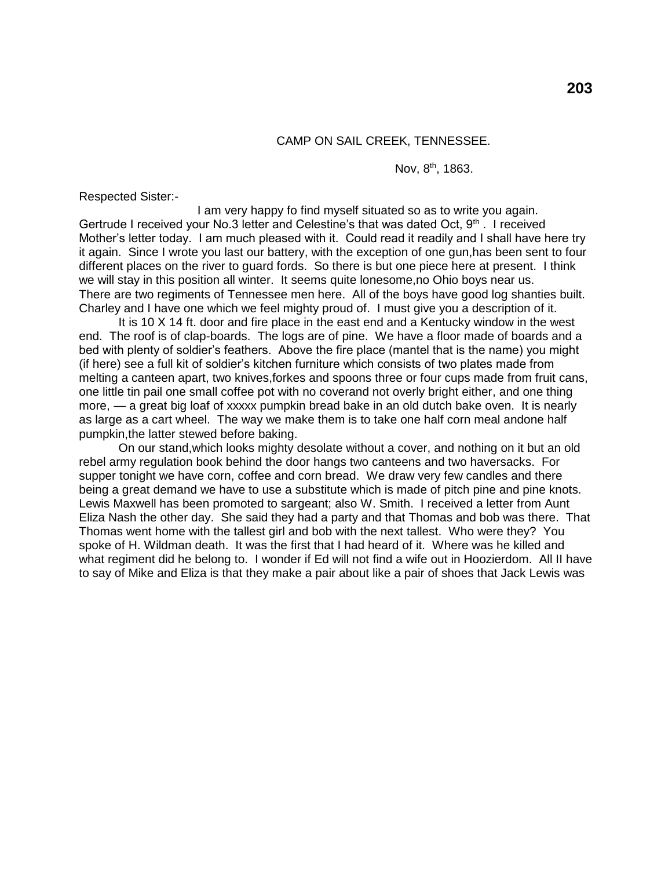Nov, 8<sup>th</sup>, 1863.

Respected Sister:-

I am very happy fo find myself situated so as to write you again. Gertrude I received your No.3 letter and Celestine's that was dated Oct,  $9<sup>th</sup>$ . I received Mother's letter today. I am much pleased with it. Could read it readily and I shall have here try it again. Since I wrote you last our battery, with the exception of one gun,has been sent to four different places on the river to guard fords. So there is but one piece here at present. I think we will stay in this position all winter. It seems quite lonesome,no Ohio boys near us. There are two regiments of Tennessee men here. All of the boys have good log shanties built. Charley and I have one which we feel mighty proud of. I must give you a description of it.

It is 10 X 14 ft. door and fire place in the east end and a Kentucky window in the west end. The roof is of clap-boards. The logs are of pine. We have a floor made of boards and a bed with plenty of soldier's feathers. Above the fire place (mantel that is the name) you might (if here) see a full kit of soldier's kitchen furniture which consists of two plates made from melting a canteen apart, two knives,forkes and spoons three or four cups made from fruit cans, one little tin pail one small coffee pot with no coverand not overly bright either, and one thing more, — a great big loaf of xxxxx pumpkin bread bake in an old dutch bake oven. It is nearly as large as a cart wheel. The way we make them is to take one half corn meal andone half pumpkin,the latter stewed before baking.

On our stand,which looks mighty desolate without a cover, and nothing on it but an old rebel army regulation book behind the door hangs two canteens and two haversacks. For supper tonight we have corn, coffee and corn bread. We draw very few candles and there being a great demand we have to use a substitute which is made of pitch pine and pine knots. Lewis Maxwell has been promoted to sargeant; also W. Smith. I received a letter from Aunt Eliza Nash the other day. She said they had a party and that Thomas and bob was there. That Thomas went home with the tallest girl and bob with the next tallest. Who were they? You spoke of H. Wildman death. It was the first that I had heard of it. Where was he killed and what regiment did he belong to. I wonder if Ed will not find a wife out in Hoozierdom. All II have to say of Mike and Eliza is that they make a pair about like a pair of shoes that Jack Lewis was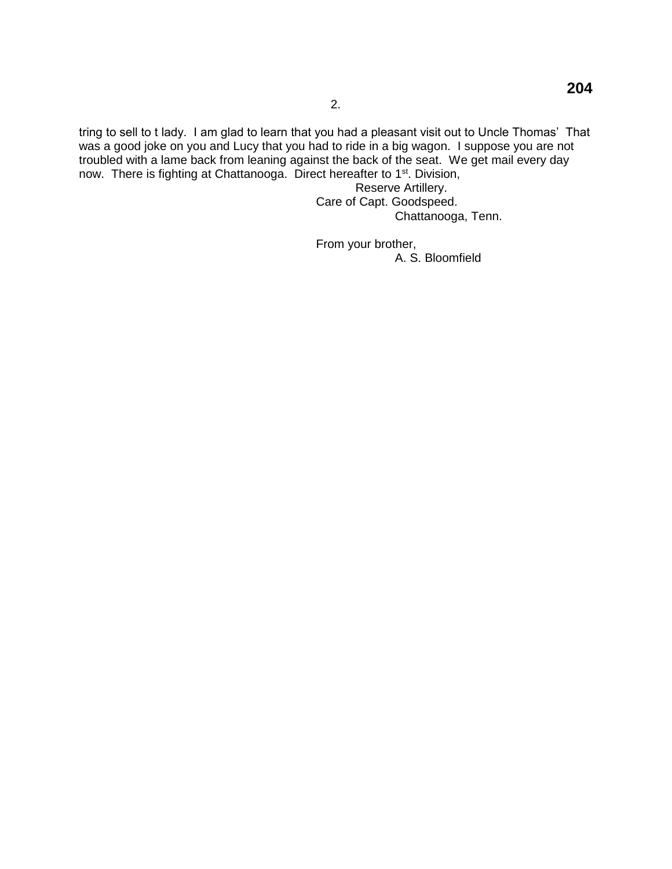tring to sell to t lady. I am glad to learn that you had a pleasant visit out to Uncle Thomas' That was a good joke on you and Lucy that you had to ride in a big wagon. I suppose you are not troubled with a lame back from leaning against the back of the seat. We get mail every day now. There is fighting at Chattanooga. Direct hereafter to 1<sup>st</sup>. Division,

Reserve Artillery. Care of Capt. Goodspeed. Chattanooga, Tenn.

From your brother, A. S. Bloomfield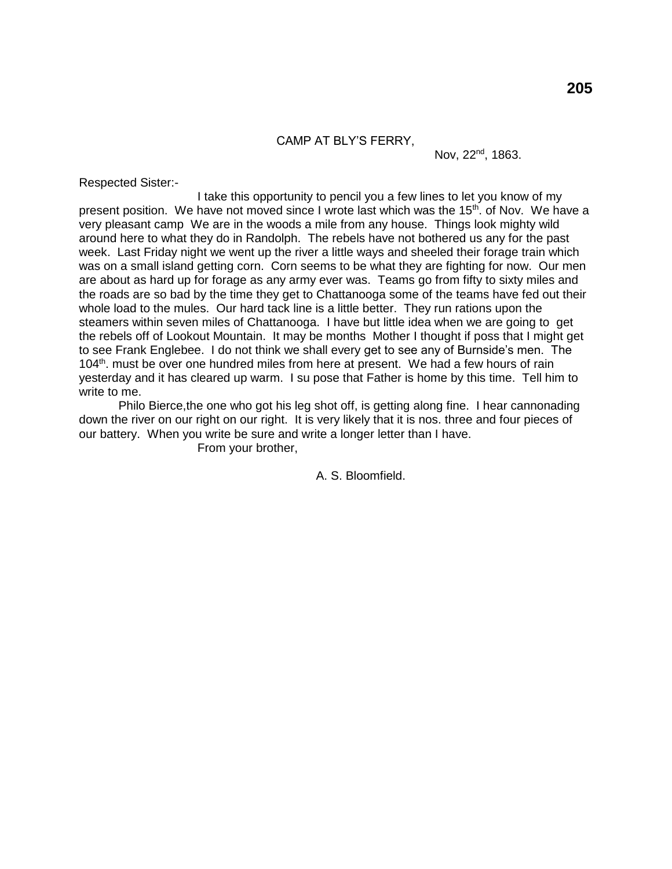CAMP AT BLY'S FERRY,

Nov, 22<sup>nd</sup>, 1863.

Respected Sister:-

I take this opportunity to pencil you a few lines to let you know of my present position. We have not moved since I wrote last which was the 15<sup>th</sup>. of Nov. We have a very pleasant camp We are in the woods a mile from any house. Things look mighty wild around here to what they do in Randolph. The rebels have not bothered us any for the past week. Last Friday night we went up the river a little ways and sheeled their forage train which was on a small island getting corn. Corn seems to be what they are fighting for now. Our men are about as hard up for forage as any army ever was. Teams go from fifty to sixty miles and the roads are so bad by the time they get to Chattanooga some of the teams have fed out their whole load to the mules. Our hard tack line is a little better. They run rations upon the steamers within seven miles of Chattanooga. I have but little idea when we are going to get the rebels off of Lookout Mountain. It may be months Mother I thought if poss that I might get to see Frank Englebee. I do not think we shall every get to see any of Burnside's men. The  $104<sup>th</sup>$ . must be over one hundred miles from here at present. We had a few hours of rain yesterday and it has cleared up warm. I su pose that Father is home by this time. Tell him to write to me.

Philo Bierce,the one who got his leg shot off, is getting along fine. I hear cannonading down the river on our right on our right. It is very likely that it is nos. three and four pieces of our battery. When you write be sure and write a longer letter than I have. From your brother,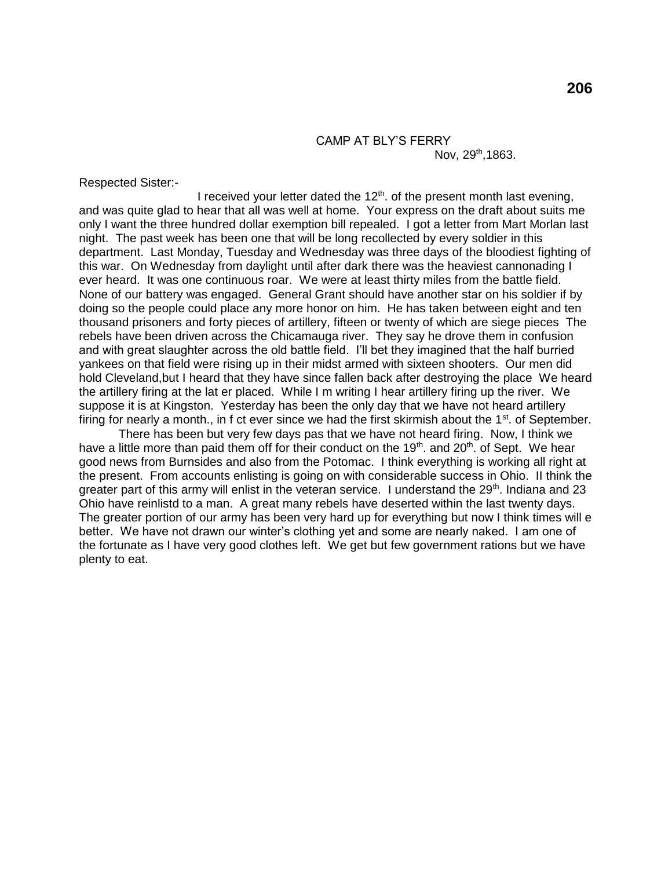# CAMP AT BLY'S FERRY

Nov, 29<sup>th</sup>,1863.

Respected Sister:-

I received your letter dated the  $12<sup>th</sup>$ . of the present month last evening, and was quite glad to hear that all was well at home. Your express on the draft about suits me only I want the three hundred dollar exemption bill repealed. I got a letter from Mart Morlan last night. The past week has been one that will be long recollected by every soldier in this department. Last Monday, Tuesday and Wednesday was three days of the bloodiest fighting of this war. On Wednesday from daylight until after dark there was the heaviest cannonading I ever heard. It was one continuous roar. We were at least thirty miles from the battle field. None of our battery was engaged. General Grant should have another star on his soldier if by doing so the people could place any more honor on him. He has taken between eight and ten thousand prisoners and forty pieces of artillery, fifteen or twenty of which are siege pieces The rebels have been driven across the Chicamauga river. They say he drove them in confusion and with great slaughter across the old battle field. I'll bet they imagined that the half burried yankees on that field were rising up in their midst armed with sixteen shooters. Our men did hold Cleveland,but I heard that they have since fallen back after destroying the place We heard the artillery firing at the lat er placed. While I m writing I hear artillery firing up the river. We suppose it is at Kingston. Yesterday has been the only day that we have not heard artillery firing for nearly a month., in f ct ever since we had the first skirmish about the  $1<sup>st</sup>$ . of September.

There has been but very few days pas that we have not heard firing. Now, I think we have a little more than paid them off for their conduct on the 19<sup>th</sup>, and 20<sup>th</sup>, of Sept. We hear good news from Burnsides and also from the Potomac. I think everything is working all right at the present. From accounts enlisting is going on with considerable success in Ohio. II think the greater part of this army will enlist in the veteran service. I understand the  $29<sup>th</sup>$ . Indiana and 23 Ohio have reinlistd to a man. A great many rebels have deserted within the last twenty days. The greater portion of our army has been very hard up for everything but now I think times will e better. We have not drawn our winter's clothing yet and some are nearly naked. I am one of the fortunate as I have very good clothes left. We get but few government rations but we have plenty to eat.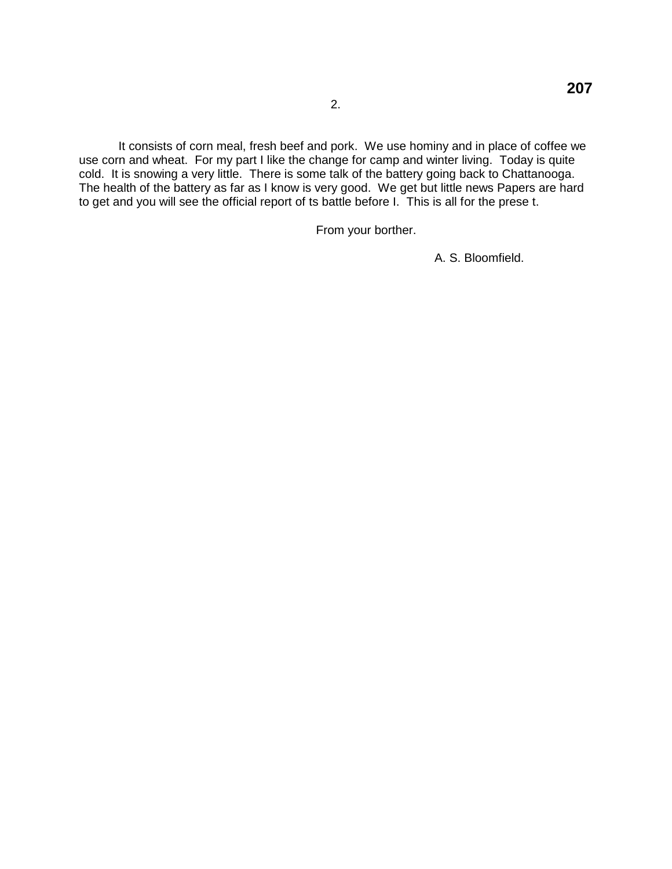It consists of corn meal, fresh beef and pork. We use hominy and in place of coffee we use corn and wheat. For my part I like the change for camp and winter living. Today is quite cold. It is snowing a very little. There is some talk of the battery going back to Chattanooga. The health of the battery as far as I know is very good. We get but little news Papers are hard to get and you will see the official report of ts battle before I. This is all for the prese t.

From your borther.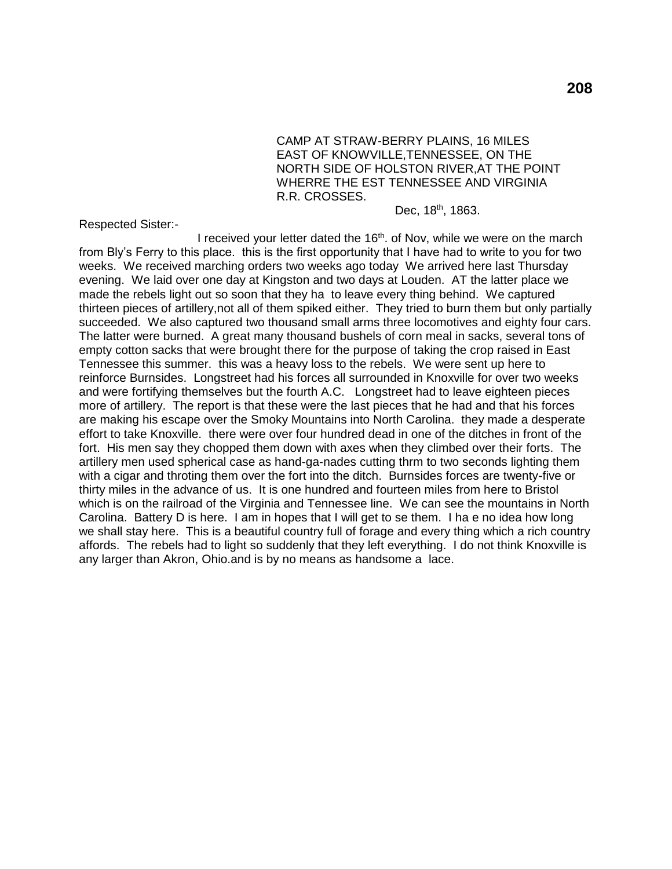CAMP AT STRAW-BERRY PLAINS, 16 MILES EAST OF KNOWVILLE,TENNESSEE, ON THE NORTH SIDE OF HOLSTON RIVER,AT THE POINT WHERRE THE EST TENNESSEE AND VIRGINIA R.R. CROSSES.

Dec, 18<sup>th</sup>, 1863.

Respected Sister:-

I received your letter dated the 16<sup>th</sup>. of Nov, while we were on the march from Bly's Ferry to this place. this is the first opportunity that I have had to write to you for two weeks. We received marching orders two weeks ago today We arrived here last Thursday evening. We laid over one day at Kingston and two days at Louden. AT the latter place we made the rebels light out so soon that they ha to leave every thing behind. We captured thirteen pieces of artillery,not all of them spiked either. They tried to burn them but only partially succeeded. We also captured two thousand small arms three locomotives and eighty four cars. The latter were burned. A great many thousand bushels of corn meal in sacks, several tons of empty cotton sacks that were brought there for the purpose of taking the crop raised in East Tennessee this summer. this was a heavy loss to the rebels. We were sent up here to reinforce Burnsides. Longstreet had his forces all surrounded in Knoxville for over two weeks and were fortifying themselves but the fourth A.C. Longstreet had to leave eighteen pieces more of artillery. The report is that these were the last pieces that he had and that his forces are making his escape over the Smoky Mountains into North Carolina. they made a desperate effort to take Knoxville. there were over four hundred dead in one of the ditches in front of the fort. His men say they chopped them down with axes when they climbed over their forts. The artillery men used spherical case as hand-ga-nades cutting thrm to two seconds lighting them with a cigar and throting them over the fort into the ditch. Burnsides forces are twenty-five or thirty miles in the advance of us. It is one hundred and fourteen miles from here to Bristol which is on the railroad of the Virginia and Tennessee line. We can see the mountains in North Carolina. Battery D is here. I am in hopes that I will get to se them. I ha e no idea how long we shall stay here. This is a beautiful country full of forage and every thing which a rich country affords. The rebels had to light so suddenly that they left everything. I do not think Knoxville is any larger than Akron, Ohio.and is by no means as handsome a lace.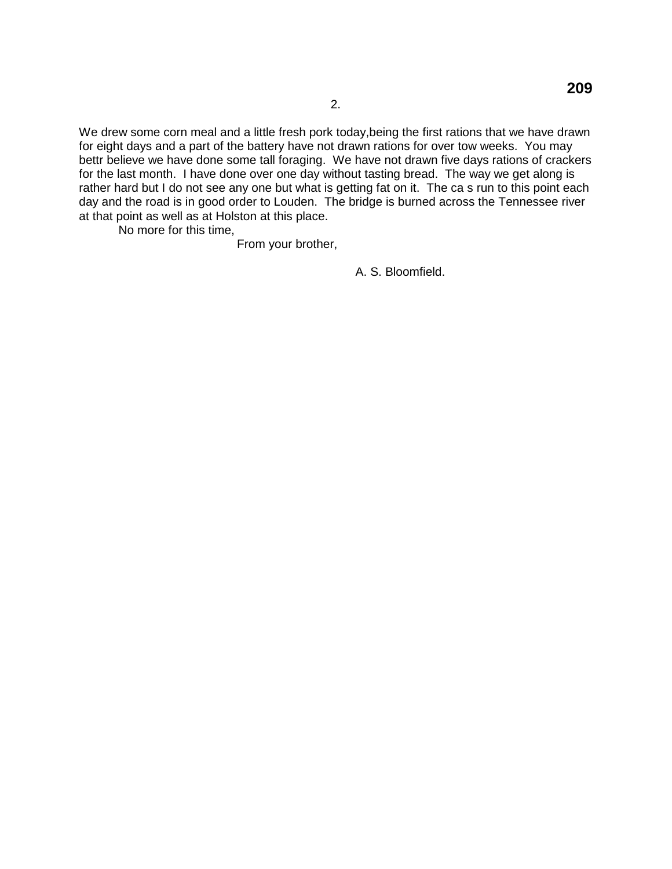We drew some corn meal and a little fresh pork today,being the first rations that we have drawn for eight days and a part of the battery have not drawn rations for over tow weeks. You may bettr believe we have done some tall foraging. We have not drawn five days rations of crackers for the last month. I have done over one day without tasting bread. The way we get along is rather hard but I do not see any one but what is getting fat on it. The ca s run to this point each day and the road is in good order to Louden. The bridge is burned across the Tennessee river at that point as well as at Holston at this place.

No more for this time,

From your brother,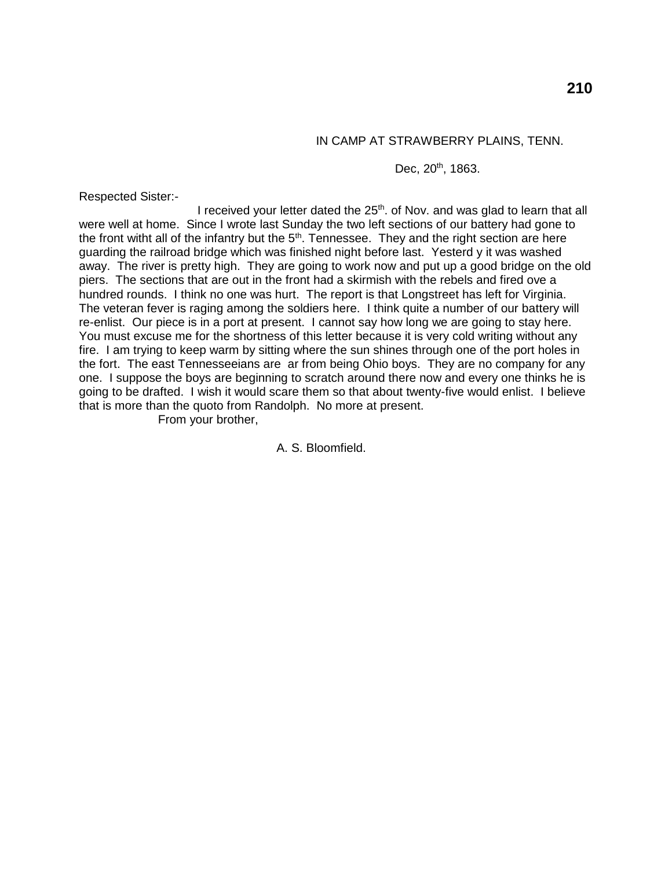## IN CAMP AT STRAWBERRY PLAINS, TENN.

#### Dec, 20<sup>th</sup>, 1863.

Respected Sister:-

I received your letter dated the 25<sup>th</sup>. of Nov. and was glad to learn that all were well at home. Since I wrote last Sunday the two left sections of our battery had gone to the front witht all of the infantry but the 5<sup>th</sup>. Tennessee. They and the right section are here guarding the railroad bridge which was finished night before last. Yesterd y it was washed away. The river is pretty high. They are going to work now and put up a good bridge on the old piers. The sections that are out in the front had a skirmish with the rebels and fired ove a hundred rounds. I think no one was hurt. The report is that Longstreet has left for Virginia. The veteran fever is raging among the soldiers here. I think quite a number of our battery will re-enlist. Our piece is in a port at present. I cannot say how long we are going to stay here. You must excuse me for the shortness of this letter because it is very cold writing without any fire. I am trying to keep warm by sitting where the sun shines through one of the port holes in the fort. The east Tennesseeians are ar from being Ohio boys. They are no company for any one. I suppose the boys are beginning to scratch around there now and every one thinks he is going to be drafted. I wish it would scare them so that about twenty-five would enlist. I believe that is more than the quoto from Randolph. No more at present.

From your brother,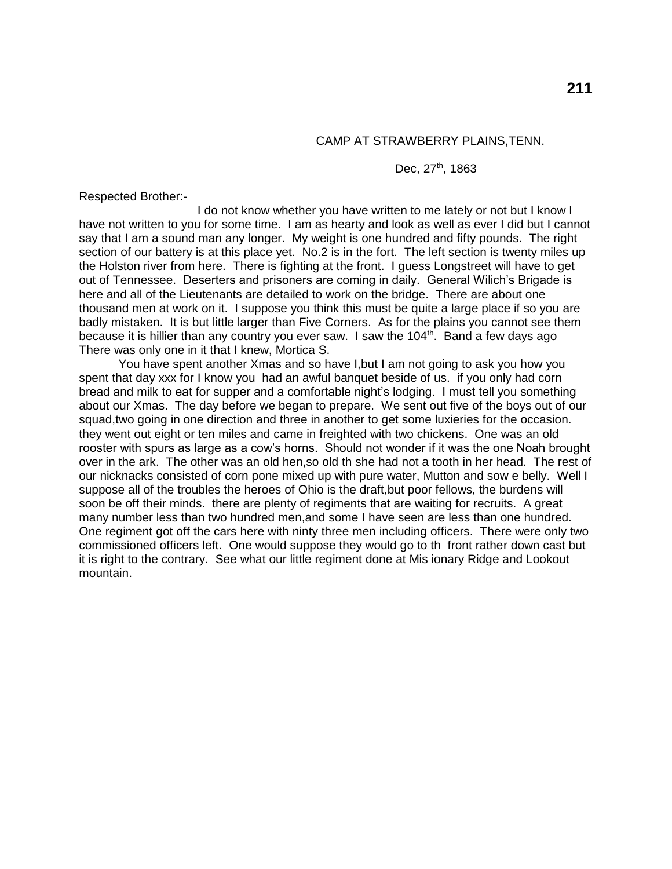## CAMP AT STRAWBERRY PLAINS,TENN.

#### Dec, 27<sup>th</sup>, 1863

Respected Brother:-

I do not know whether you have written to me lately or not but I know I have not written to you for some time. I am as hearty and look as well as ever I did but I cannot say that I am a sound man any longer. My weight is one hundred and fifty pounds. The right section of our battery is at this place yet. No.2 is in the fort. The left section is twenty miles up the Holston river from here. There is fighting at the front. I guess Longstreet will have to get out of Tennessee. Deserters and prisoners are coming in daily. General Wilich's Brigade is here and all of the Lieutenants are detailed to work on the bridge. There are about one thousand men at work on it. I suppose you think this must be quite a large place if so you are badly mistaken. It is but little larger than Five Corners. As for the plains you cannot see them because it is hillier than any country you ever saw. I saw the 104<sup>th</sup>. Band a few days ago There was only one in it that I knew, Mortica S.

You have spent another Xmas and so have I,but I am not going to ask you how you spent that day xxx for I know you had an awful banquet beside of us. if you only had corn bread and milk to eat for supper and a comfortable night's lodging. I must tell you something about our Xmas. The day before we began to prepare. We sent out five of the boys out of our squad,two going in one direction and three in another to get some luxieries for the occasion. they went out eight or ten miles and came in freighted with two chickens. One was an old rooster with spurs as large as a cow's horns. Should not wonder if it was the one Noah brought over in the ark. The other was an old hen,so old th she had not a tooth in her head. The rest of our nicknacks consisted of corn pone mixed up with pure water, Mutton and sow e belly. Well I suppose all of the troubles the heroes of Ohio is the draft,but poor fellows, the burdens will soon be off their minds. there are plenty of regiments that are waiting for recruits. A great many number less than two hundred men,and some I have seen are less than one hundred. One regiment got off the cars here with ninty three men including officers. There were only two commissioned officers left. One would suppose they would go to th front rather down cast but it is right to the contrary. See what our little regiment done at Mis ionary Ridge and Lookout mountain.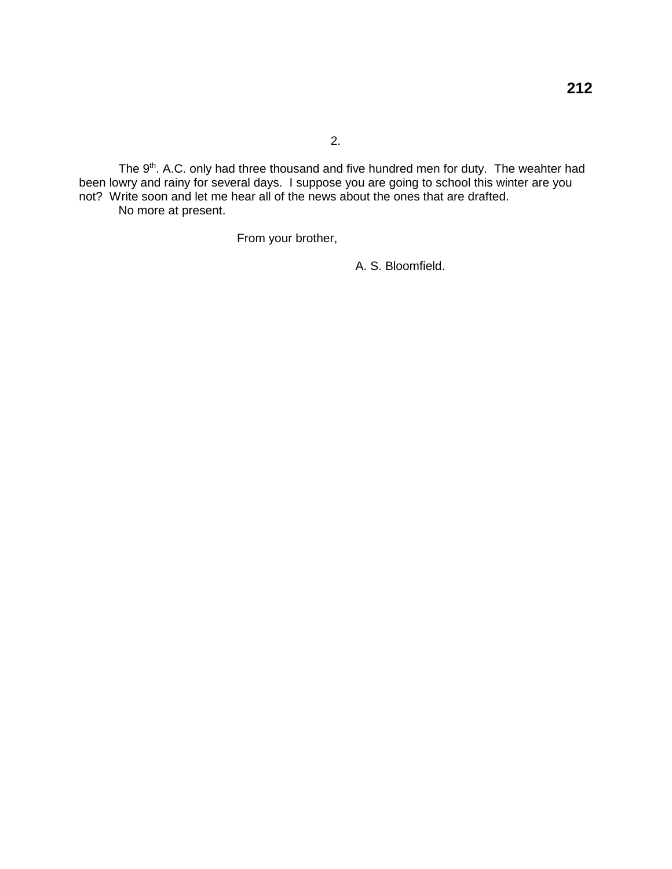The 9<sup>th</sup>. A.C. only had three thousand and five hundred men for duty. The weahter had been lowry and rainy for several days. I suppose you are going to school this winter are you not? Write soon and let me hear all of the news about the ones that are drafted. No more at present.

From your brother,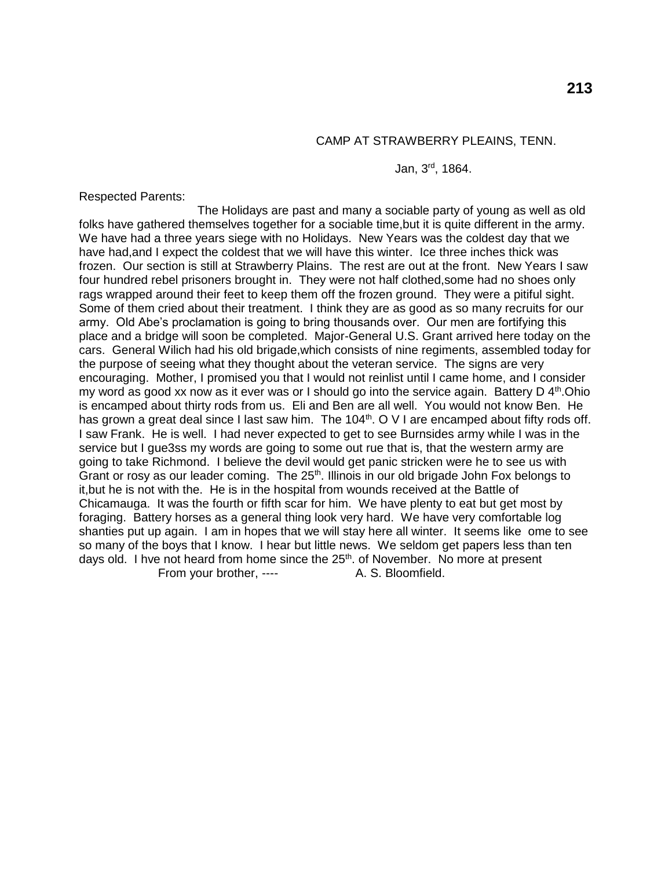#### CAMP AT STRAWBERRY PLEAINS, TENN.

#### Jan, 3rd, 1864.

Respected Parents:

The Holidays are past and many a sociable party of young as well as old folks have gathered themselves together for a sociable time,but it is quite different in the army. We have had a three years siege with no Holidays. New Years was the coldest day that we have had,and I expect the coldest that we will have this winter. Ice three inches thick was frozen. Our section is still at Strawberry Plains. The rest are out at the front. New Years I saw four hundred rebel prisoners brought in. They were not half clothed,some had no shoes only rags wrapped around their feet to keep them off the frozen ground. They were a pitiful sight. Some of them cried about their treatment. I think they are as good as so many recruits for our army. Old Abe's proclamation is going to bring thousands over. Our men are fortifying this place and a bridge will soon be completed. Major-General U.S. Grant arrived here today on the cars. General Wilich had his old brigade,which consists of nine regiments, assembled today for the purpose of seeing what they thought about the veteran service. The signs are very encouraging. Mother, I promised you that I would not reinlist until I came home, and I consider my word as good xx now as it ever was or I should go into the service again. Battery D  $4<sup>th</sup>$ . Ohio is encamped about thirty rods from us. Eli and Ben are all well. You would not know Ben. He has grown a great deal since I last saw him. The 104<sup>th</sup>. O V I are encamped about fifty rods off. I saw Frank. He is well. I had never expected to get to see Burnsides army while I was in the service but I gue3ss my words are going to some out rue that is, that the western army are going to take Richmond. I believe the devil would get panic stricken were he to see us with Grant or rosy as our leader coming. The 25<sup>th</sup>. Illinois in our old brigade John Fox belongs to it,but he is not with the. He is in the hospital from wounds received at the Battle of Chicamauga. It was the fourth or fifth scar for him. We have plenty to eat but get most by foraging. Battery horses as a general thing look very hard. We have very comfortable log shanties put up again. I am in hopes that we will stay here all winter. It seems like ome to see so many of the boys that I know. I hear but little news. We seldom get papers less than ten days old. I hve not heard from home since the  $25<sup>th</sup>$ . of November. No more at present From your brother, ---- A. S. Bloomfield.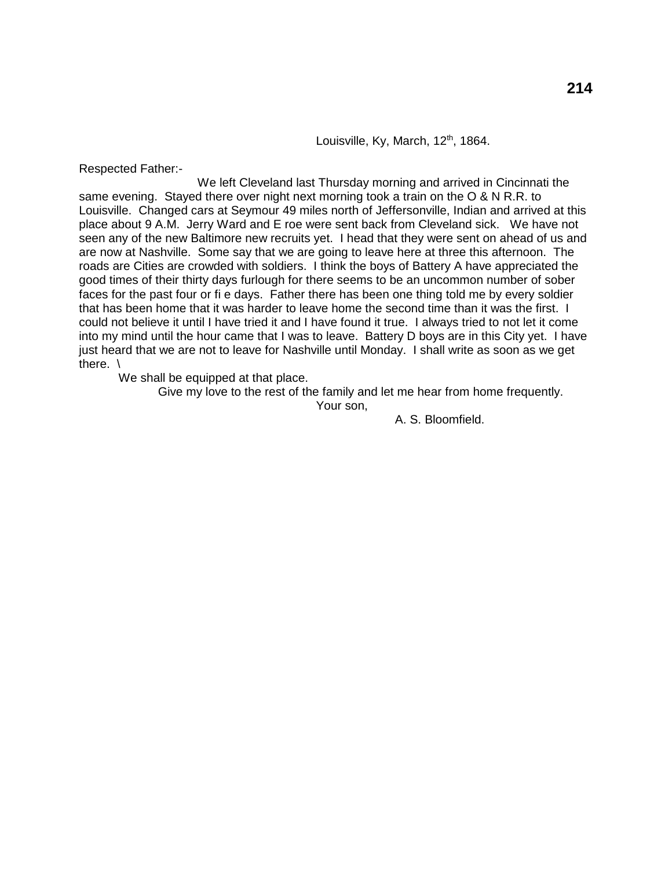Louisville, Ky, March, 12<sup>th</sup>, 1864.

Respected Father:-

We left Cleveland last Thursday morning and arrived in Cincinnati the same evening. Stayed there over night next morning took a train on the O & N R.R. to Louisville. Changed cars at Seymour 49 miles north of Jeffersonville, Indian and arrived at this place about 9 A.M. Jerry Ward and E roe were sent back from Cleveland sick. We have not seen any of the new Baltimore new recruits yet. I head that they were sent on ahead of us and are now at Nashville. Some say that we are going to leave here at three this afternoon. The roads are Cities are crowded with soldiers. I think the boys of Battery A have appreciated the good times of their thirty days furlough for there seems to be an uncommon number of sober faces for the past four or fi e days. Father there has been one thing told me by every soldier that has been home that it was harder to leave home the second time than it was the first. I could not believe it until I have tried it and I have found it true. I always tried to not let it come into my mind until the hour came that I was to leave. Battery D boys are in this City yet. I have just heard that we are not to leave for Nashville until Monday. I shall write as soon as we get there. \

We shall be equipped at that place.

Give my love to the rest of the family and let me hear from home frequently.

Your son,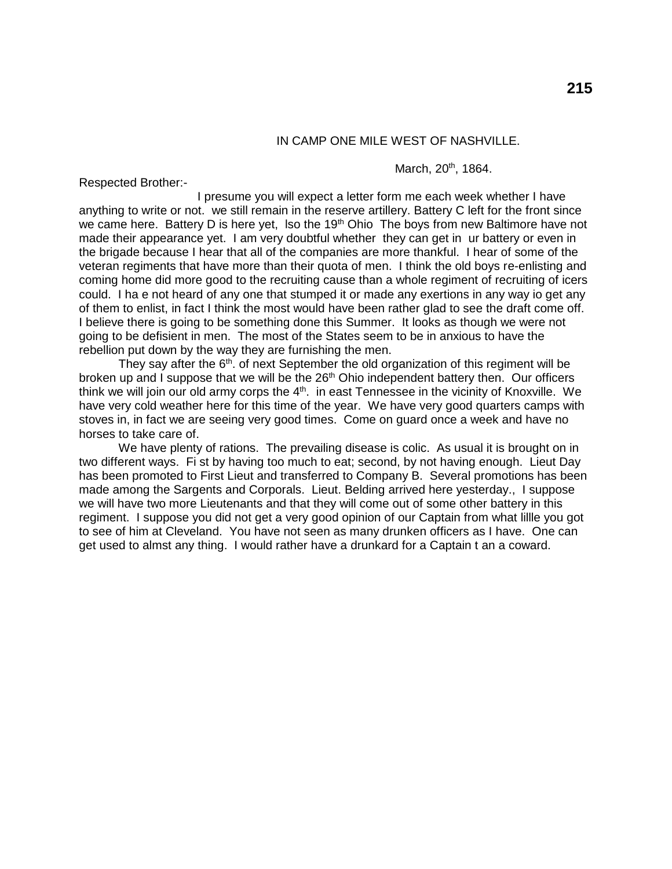# IN CAMP ONE MILE WEST OF NASHVILLE.

#### March, 20<sup>th</sup>, 1864.

Respected Brother:-

I presume you will expect a letter form me each week whether I have anything to write or not. we still remain in the reserve artillery. Battery C left for the front since we came here. Battery D is here yet, lso the 19<sup>th</sup> Ohio The boys from new Baltimore have not made their appearance yet. I am very doubtful whether they can get in ur battery or even in the brigade because I hear that all of the companies are more thankful. I hear of some of the veteran regiments that have more than their quota of men. I think the old boys re-enlisting and coming home did more good to the recruiting cause than a whole regiment of recruiting of icers could. I ha e not heard of any one that stumped it or made any exertions in any way io get any of them to enlist, in fact I think the most would have been rather glad to see the draft come off. I believe there is going to be something done this Summer. It looks as though we were not going to be defisient in men. The most of the States seem to be in anxious to have the rebellion put down by the way they are furnishing the men.

They say after the  $6<sup>th</sup>$ . of next September the old organization of this regiment will be broken up and I suppose that we will be the  $26<sup>th</sup>$  Ohio independent battery then. Our officers think we will join our old army corps the  $4<sup>th</sup>$ . in east Tennessee in the vicinity of Knoxville. We have very cold weather here for this time of the year. We have very good quarters camps with stoves in, in fact we are seeing very good times. Come on guard once a week and have no horses to take care of.

We have plenty of rations. The prevailing disease is colic. As usual it is brought on in two different ways. Fi st by having too much to eat; second, by not having enough. Lieut Day has been promoted to First Lieut and transferred to Company B. Several promotions has been made among the Sargents and Corporals. Lieut. Belding arrived here yesterday., I suppose we will have two more Lieutenants and that they will come out of some other battery in this regiment. I suppose you did not get a very good opinion of our Captain from what lillle you got to see of him at Cleveland. You have not seen as many drunken officers as I have. One can get used to almst any thing. I would rather have a drunkard for a Captain t an a coward.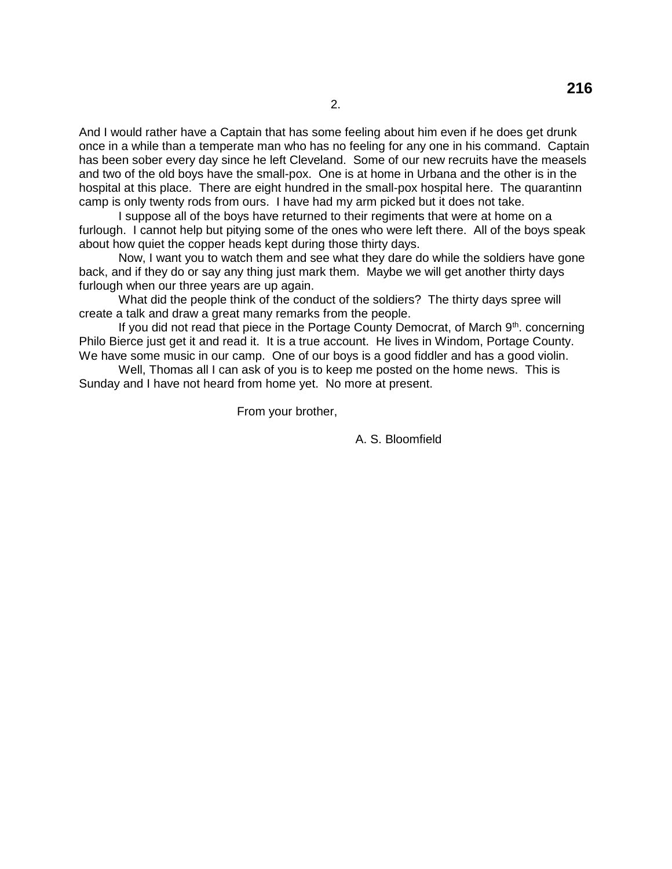And I would rather have a Captain that has some feeling about him even if he does get drunk once in a while than a temperate man who has no feeling for any one in his command. Captain has been sober every day since he left Cleveland. Some of our new recruits have the measels and two of the old boys have the small-pox. One is at home in Urbana and the other is in the hospital at this place. There are eight hundred in the small-pox hospital here. The quarantinn camp is only twenty rods from ours. I have had my arm picked but it does not take.

I suppose all of the boys have returned to their regiments that were at home on a furlough. I cannot help but pitying some of the ones who were left there. All of the boys speak about how quiet the copper heads kept during those thirty days.

Now, I want you to watch them and see what they dare do while the soldiers have gone back, and if they do or say any thing just mark them. Maybe we will get another thirty days furlough when our three years are up again.

What did the people think of the conduct of the soldiers? The thirty days spree will create a talk and draw a great many remarks from the people.

If you did not read that piece in the Portage County Democrat, of March  $9<sup>th</sup>$ . concerning Philo Bierce just get it and read it. It is a true account. He lives in Windom, Portage County. We have some music in our camp. One of our boys is a good fiddler and has a good violin.

Well, Thomas all I can ask of you is to keep me posted on the home news. This is Sunday and I have not heard from home yet. No more at present.

From your brother,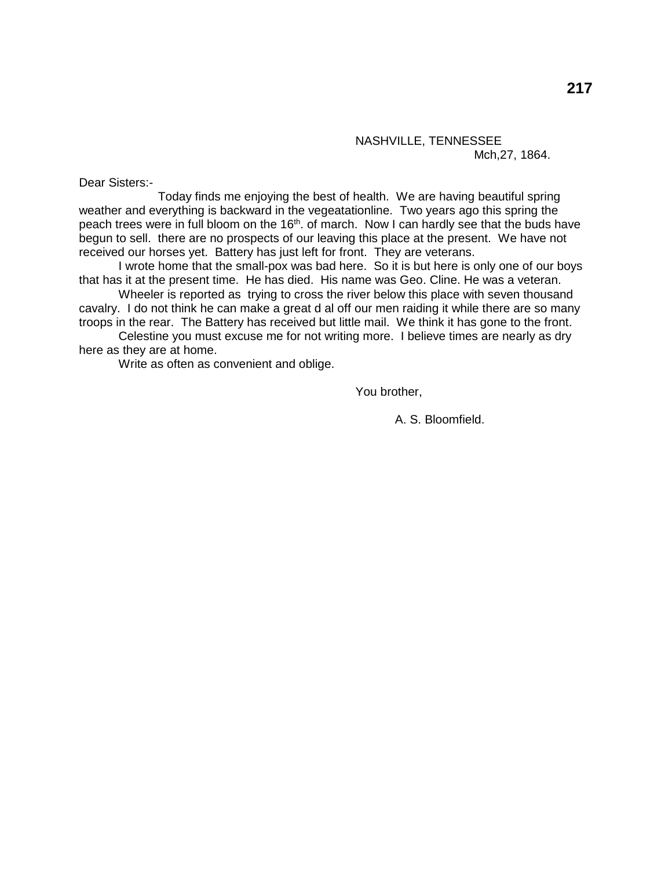## NASHVILLE, TENNESSEE Mch,27, 1864.

Dear Sisters:-

Today finds me enjoying the best of health. We are having beautiful spring weather and everything is backward in the vegeatationline. Two years ago this spring the peach trees were in full bloom on the 16<sup>th</sup>. of march. Now I can hardly see that the buds have begun to sell. there are no prospects of our leaving this place at the present. We have not received our horses yet. Battery has just left for front. They are veterans.

I wrote home that the small-pox was bad here. So it is but here is only one of our boys that has it at the present time. He has died. His name was Geo. Cline. He was a veteran.

Wheeler is reported as trying to cross the river below this place with seven thousand cavalry. I do not think he can make a great d al off our men raiding it while there are so many troops in the rear. The Battery has received but little mail. We think it has gone to the front.

Celestine you must excuse me for not writing more. I believe times are nearly as dry here as they are at home.

Write as often as convenient and oblige.

You brother,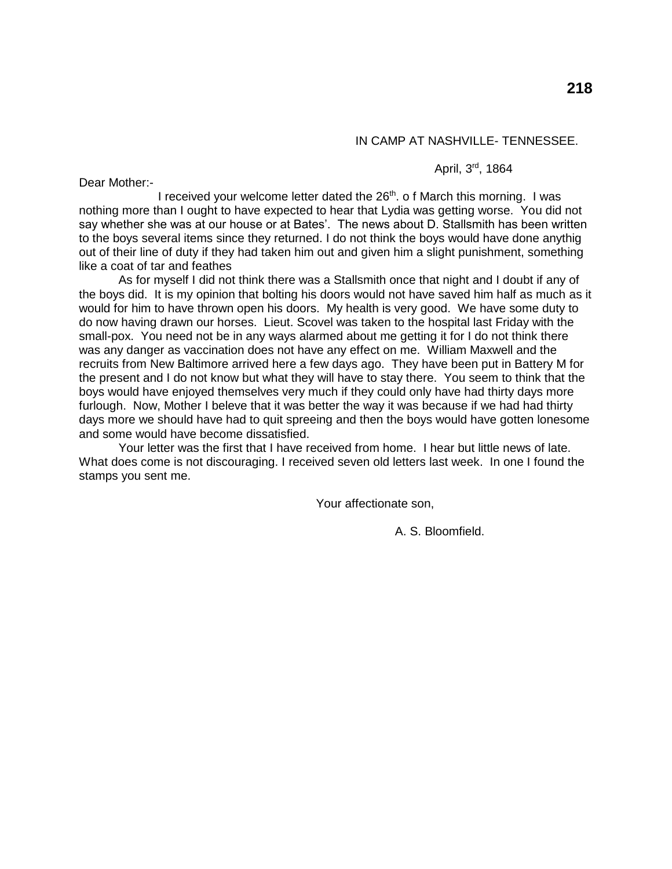# IN CAMP AT NASHVILLE- TENNESSEE.

#### April, 3<sup>rd</sup>, 1864

Dear Mother:-

I received your welcome letter dated the  $26<sup>th</sup>$ . o f March this morning. I was nothing more than I ought to have expected to hear that Lydia was getting worse. You did not say whether she was at our house or at Bates'. The news about D. Stallsmith has been written to the boys several items since they returned. I do not think the boys would have done anythig out of their line of duty if they had taken him out and given him a slight punishment, something like a coat of tar and feathes

As for myself I did not think there was a Stallsmith once that night and I doubt if any of the boys did. It is my opinion that bolting his doors would not have saved him half as much as it would for him to have thrown open his doors. My health is very good. We have some duty to do now having drawn our horses. Lieut. Scovel was taken to the hospital last Friday with the small-pox. You need not be in any ways alarmed about me getting it for I do not think there was any danger as vaccination does not have any effect on me. William Maxwell and the recruits from New Baltimore arrived here a few days ago. They have been put in Battery M for the present and I do not know but what they will have to stay there. You seem to think that the boys would have enjoyed themselves very much if they could only have had thirty days more furlough. Now, Mother I beleve that it was better the way it was because if we had had thirty days more we should have had to quit spreeing and then the boys would have gotten lonesome and some would have become dissatisfied.

Your letter was the first that I have received from home. I hear but little news of late. What does come is not discouraging. I received seven old letters last week. In one I found the stamps you sent me.

Your affectionate son,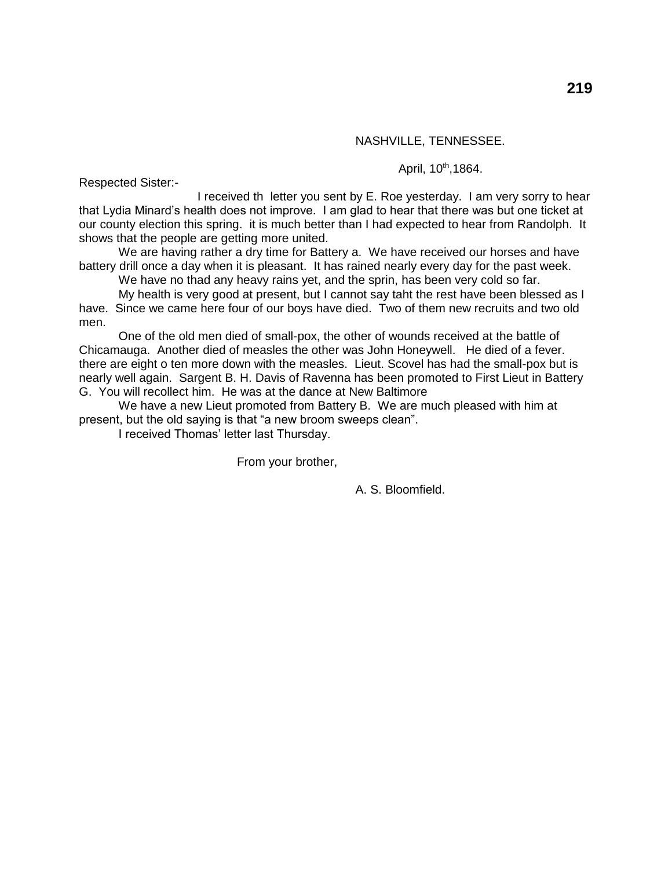#### NASHVILLE, TENNESSEE.

April, 10<sup>th</sup>,1864.

Respected Sister:-

I received th letter you sent by E. Roe yesterday. I am very sorry to hear that Lydia Minard's health does not improve. I am glad to hear that there was but one ticket at our county election this spring. it is much better than I had expected to hear from Randolph. It shows that the people are getting more united.

We are having rather a dry time for Battery a. We have received our horses and have battery drill once a day when it is pleasant. It has rained nearly every day for the past week.

We have no thad any heavy rains yet, and the sprin, has been very cold so far.

My health is very good at present, but I cannot say taht the rest have been blessed as I have. Since we came here four of our boys have died. Two of them new recruits and two old men.

One of the old men died of small-pox, the other of wounds received at the battle of Chicamauga. Another died of measles the other was John Honeywell. He died of a fever. there are eight o ten more down with the measles. Lieut. Scovel has had the small-pox but is nearly well again. Sargent B. H. Davis of Ravenna has been promoted to First Lieut in Battery G. You will recollect him. He was at the dance at New Baltimore

We have a new Lieut promoted from Battery B. We are much pleased with him at present, but the old saying is that "a new broom sweeps clean".

I received Thomas' letter last Thursday.

From your brother,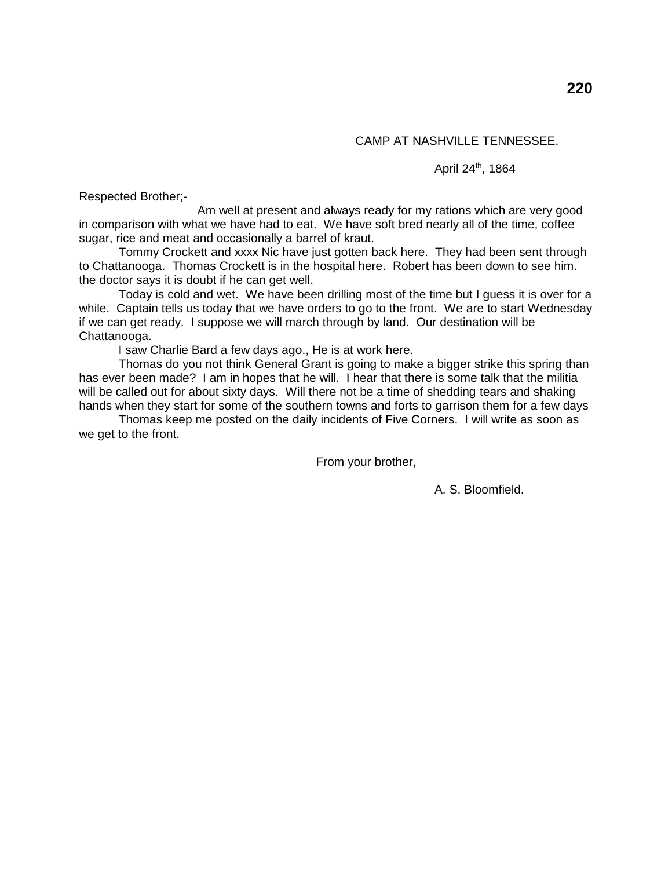## April 24<sup>th</sup>, 1864

Respected Brother;-

Am well at present and always ready for my rations which are very good in comparison with what we have had to eat. We have soft bred nearly all of the time, coffee sugar, rice and meat and occasionally a barrel of kraut.

Tommy Crockett and xxxx Nic have just gotten back here. They had been sent through to Chattanooga. Thomas Crockett is in the hospital here. Robert has been down to see him. the doctor says it is doubt if he can get well.

Today is cold and wet. We have been drilling most of the time but I guess it is over for a while. Captain tells us today that we have orders to go to the front. We are to start Wednesday if we can get ready. I suppose we will march through by land. Our destination will be Chattanooga.

I saw Charlie Bard a few days ago., He is at work here.

Thomas do you not think General Grant is going to make a bigger strike this spring than has ever been made? I am in hopes that he will. I hear that there is some talk that the militia will be called out for about sixty days. Will there not be a time of shedding tears and shaking hands when they start for some of the southern towns and forts to garrison them for a few days

Thomas keep me posted on the daily incidents of Five Corners. I will write as soon as we get to the front.

From your brother,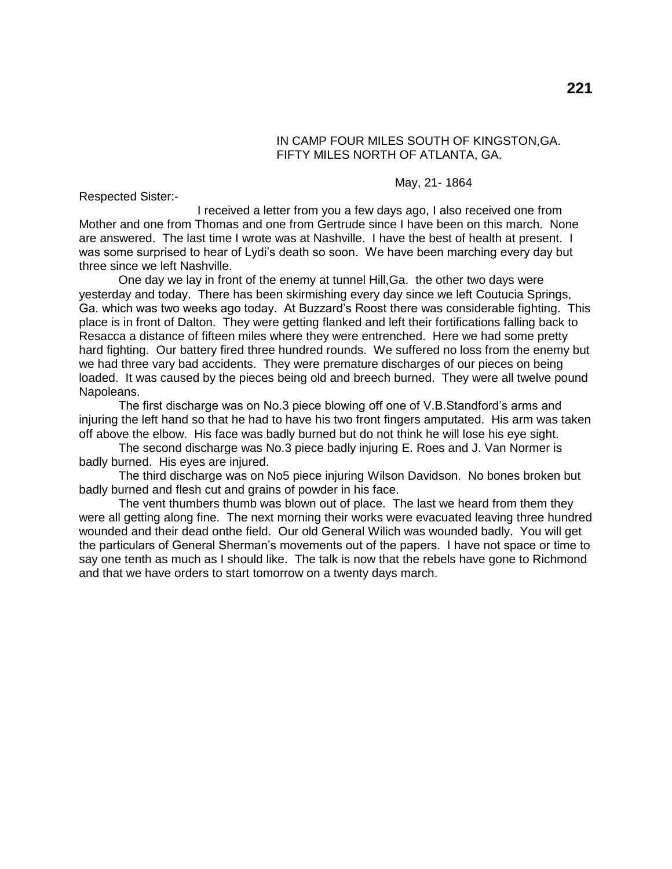## IN CAMP FOUR MILES SOUTH OF KINGSTON,GA. FIFTY MILES NORTH OF ATLANTA, GA.

#### May, 21- 1864

Respected Sister:-

I received a letter from you a few days ago, I also received one from Mother and one from Thomas and one from Gertrude since I have been on this march. None are answered. The last time I wrote was at Nashville. I have the best of health at present. I was some surprised to hear of Lydi's death so soon. We have been marching every day but three since we left Nashville.

One day we lay in front of the enemy at tunnel Hill,Ga. the other two days were yesterday and today. There has been skirmishing every day since we left Coutucia Springs, Ga. which was two weeks ago today. At Buzzard's Roost there was considerable fighting. This place is in front of Dalton. They were getting flanked and left their fortifications falling back to Resacca a distance of fifteen miles where they were entrenched. Here we had some pretty hard fighting. Our battery fired three hundred rounds. We suffered no loss from the enemy but we had three vary bad accidents. They were premature discharges of our pieces on being loaded. It was caused by the pieces being old and breech burned. They were all twelve pound Napoleans.

The first discharge was on No.3 piece blowing off one of V.B.Standford's arms and injuring the left hand so that he had to have his two front fingers amputated. His arm was taken off above the elbow. His face was badly burned but do not think he will lose his eye sight.

The second discharge was No.3 piece badly injuring E. Roes and J. Van Normer is badly burned. His eyes are injured.

The third discharge was on No5 piece injuring Wilson Davidson. No bones broken but badly burned and flesh cut and grains of powder in his face.

The vent thumbers thumb was blown out of place. The last we heard from them they were all getting along fine. The next morning their works were evacuated leaving three hundred wounded and their dead onthe field. Our old General Wilich was wounded badly. You will get the particulars of General Sherman's movements out of the papers. I have not space or time to say one tenth as much as I should like. The talk is now that the rebels have gone to Richmond and that we have orders to start tomorrow on a twenty days march.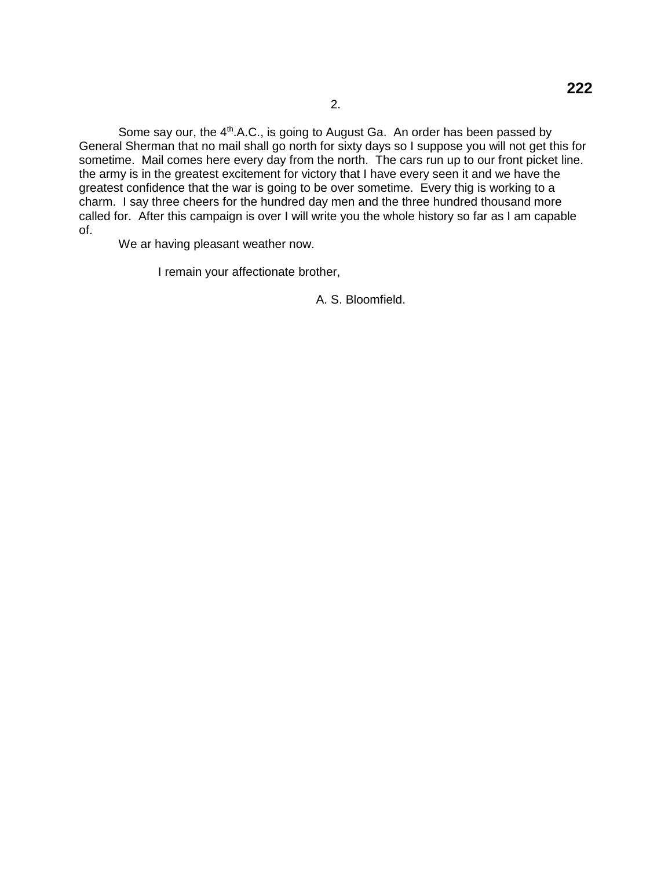Some say our, the  $4<sup>th</sup>$ .A.C., is going to August Ga. An order has been passed by General Sherman that no mail shall go north for sixty days so I suppose you will not get this for sometime. Mail comes here every day from the north. The cars run up to our front picket line. the army is in the greatest excitement for victory that I have every seen it and we have the greatest confidence that the war is going to be over sometime. Every thig is working to a charm. I say three cheers for the hundred day men and the three hundred thousand more called for. After this campaign is over I will write you the whole history so far as I am capable of.

We ar having pleasant weather now.

I remain your affectionate brother,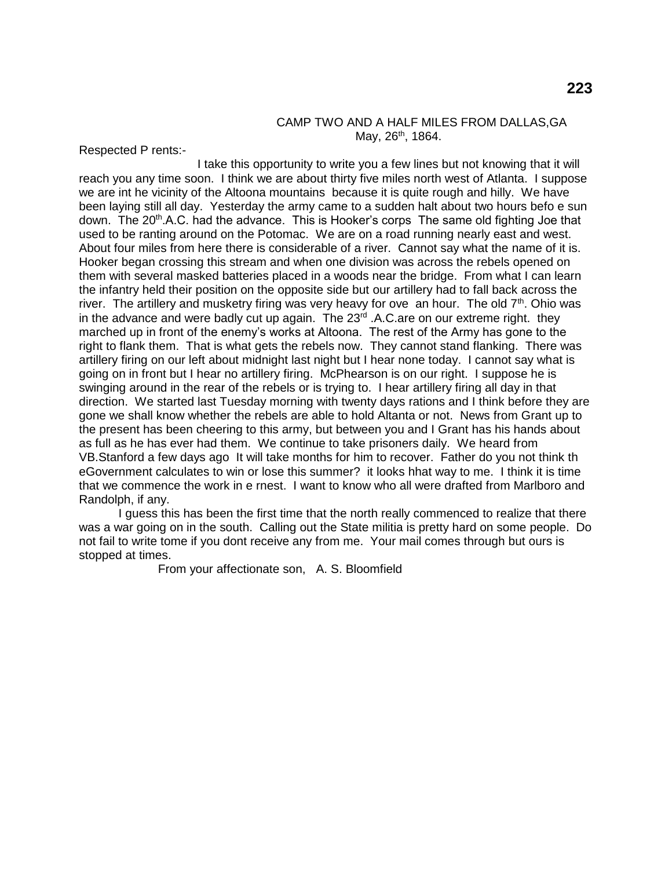#### CAMP TWO AND A HALF MILES FROM DALLAS,GA May,  $26^{th}$ , 1864.

Respected P rents:-

I take this opportunity to write you a few lines but not knowing that it will reach you any time soon. I think we are about thirty five miles north west of Atlanta. I suppose we are int he vicinity of the Altoona mountains because it is quite rough and hilly. We have been laying still all day. Yesterday the army came to a sudden halt about two hours befo e sun down. The 20<sup>th</sup>.A.C. had the advance. This is Hooker's corps The same old fighting Joe that used to be ranting around on the Potomac. We are on a road running nearly east and west. About four miles from here there is considerable of a river. Cannot say what the name of it is. Hooker began crossing this stream and when one division was across the rebels opened on them with several masked batteries placed in a woods near the bridge. From what I can learn the infantry held their position on the opposite side but our artillery had to fall back across the river. The artillery and musketry firing was very heavy for ove an hour. The old  $7<sup>th</sup>$ . Ohio was in the advance and were badly cut up again. The  $23<sup>rd</sup>$ . A.C.are on our extreme right. they marched up in front of the enemy's works at Altoona. The rest of the Army has gone to the right to flank them. That is what gets the rebels now. They cannot stand flanking. There was artillery firing on our left about midnight last night but I hear none today. I cannot say what is going on in front but I hear no artillery firing. McPhearson is on our right. I suppose he is swinging around in the rear of the rebels or is trying to. I hear artillery firing all day in that direction. We started last Tuesday morning with twenty days rations and I think before they are gone we shall know whether the rebels are able to hold Altanta or not. News from Grant up to the present has been cheering to this army, but between you and I Grant has his hands about as full as he has ever had them. We continue to take prisoners daily. We heard from VB.Stanford a few days ago It will take months for him to recover. Father do you not think th eGovernment calculates to win or lose this summer? it looks hhat way to me. I think it is time that we commence the work in e rnest. I want to know who all were drafted from Marlboro and Randolph, if any.

I guess this has been the first time that the north really commenced to realize that there was a war going on in the south. Calling out the State militia is pretty hard on some people. Do not fail to write tome if you dont receive any from me. Your mail comes through but ours is stopped at times.

From your affectionate son, A. S. Bloomfield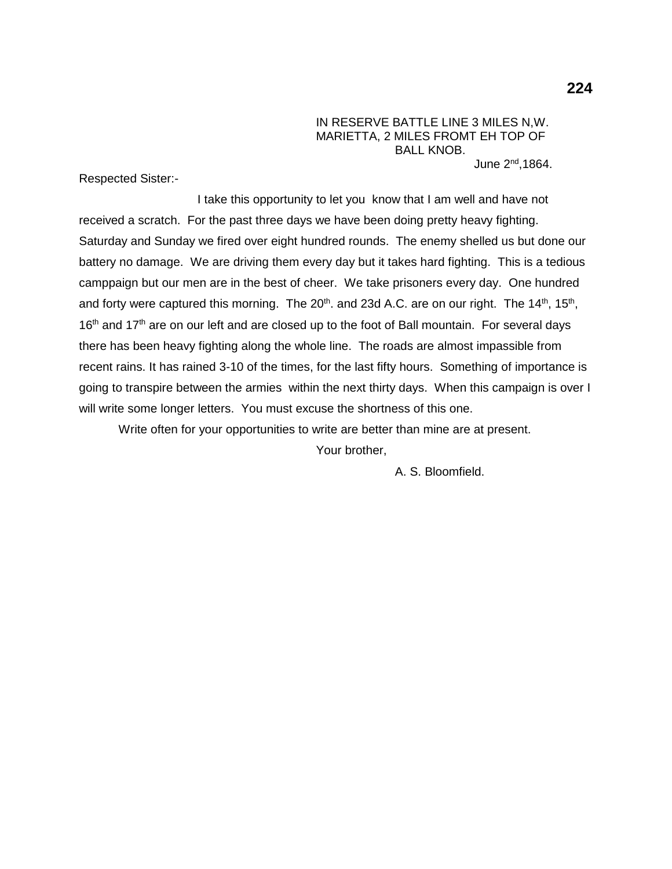IN RESERVE BATTLE LINE 3 MILES N,W. MARIETTA, 2 MILES FROMT EH TOP OF BALL KNOB. June  $2<sup>nd</sup>$ .1864.

Respected Sister:-

I take this opportunity to let you know that I am well and have not received a scratch. For the past three days we have been doing pretty heavy fighting. Saturday and Sunday we fired over eight hundred rounds. The enemy shelled us but done our battery no damage. We are driving them every day but it takes hard fighting. This is a tedious camppaign but our men are in the best of cheer. We take prisoners every day. One hundred and forty were captured this morning. The 20<sup>th</sup>. and 23d A.C. are on our right. The 14<sup>th</sup>, 15<sup>th</sup>,  $16<sup>th</sup>$  and  $17<sup>th</sup>$  are on our left and are closed up to the foot of Ball mountain. For several days there has been heavy fighting along the whole line. The roads are almost impassible from recent rains. It has rained 3-10 of the times, for the last fifty hours. Something of importance is going to transpire between the armies within the next thirty days. When this campaign is over I will write some longer letters. You must excuse the shortness of this one.

Write often for your opportunities to write are better than mine are at present.

Your brother,